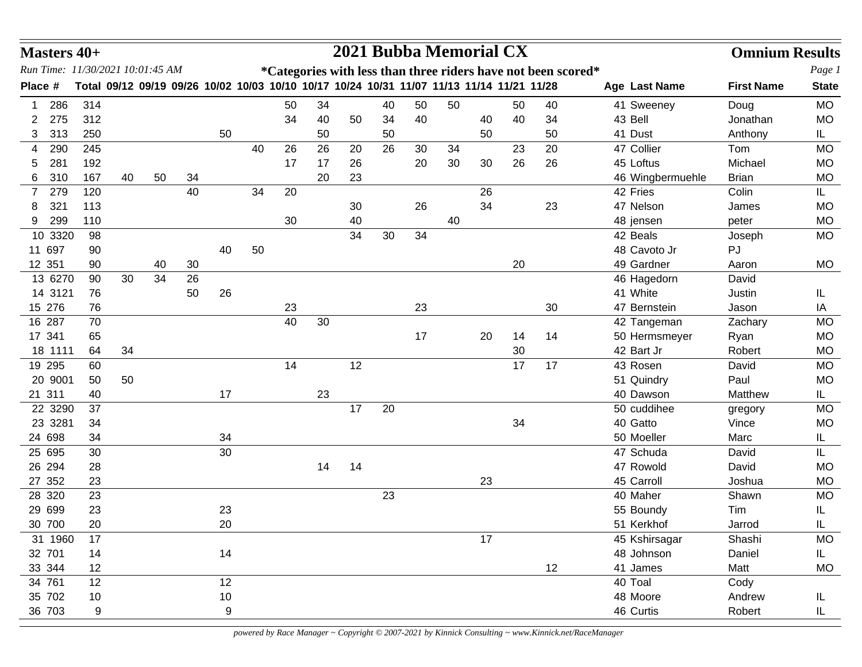| Run Time: 11/30/2021 10:01:45 AM<br>*Categories with less than three riders have not been scored*<br>Total 09/12 09/19 09/26 10/02 10/03 10/10 10/17 10/24 10/31 11/07 11/13 11/14 11/21 11/28<br><b>First Name</b><br>Place #<br>Age Last Name<br>50<br><b>MO</b><br>286<br>314<br>34<br>40<br>50<br>41 Sweeney<br>50<br>50<br>40<br>Doug<br>275<br>312<br>34<br>40<br>40<br>40<br>40<br>34<br>43 Bell<br>Jonathan<br><b>MO</b><br>2<br>50<br>34<br>41 Dust<br>313<br>250<br>50<br>IL.<br>3<br>50<br>50<br>50<br>50<br>Anthony<br>47 Collier<br>26<br>26<br>26<br>23<br>20<br>290<br>245<br>40<br>20<br>30<br>34<br>Tom<br><b>MO</b><br>4<br>26<br>26<br>281<br>192<br>26<br>20<br>30<br>30<br>45 Loftus<br>Michael<br><b>MO</b><br>17<br>17<br>5<br>310<br>167<br>40<br>50<br>34<br>20<br>23<br>46 Wingbermuehle<br><b>Brian</b><br><b>MO</b><br>6<br>40<br>42 Fries<br>Colin<br>279<br>120<br>34<br>20<br>26<br>IL.<br>7<br>321<br>26<br>34<br>23<br>47 Nelson<br>113<br>30<br><b>MO</b><br>8<br>James<br>299<br>110<br>30<br>40<br>48 jensen<br><b>MO</b><br>9<br>40<br>peter<br>10 3320<br>34<br>30<br>42 Beals<br>98<br>34<br><b>MO</b><br>Joseph<br>48 Cavoto Jr<br>11 697<br>40<br>50<br><b>PJ</b><br>90<br>12 351<br>20<br>49 Gardner<br><b>MO</b><br>90<br>40<br>30<br>Aaron<br>34<br>13 6270<br>30<br>26<br>90<br>46 Hagedorn<br>David<br>41 White<br>14 3121<br>50<br>26<br>76<br>Justin<br>IL<br>15 276<br>76<br>23<br>23<br>30<br>47 Bernstein<br>Jason<br>IA<br>16 287<br>40<br>30<br>42 Tangeman<br>Zachary<br><b>MO</b><br>70<br>17 341<br>17<br>20<br><b>MO</b><br>65<br>14<br>14<br>50 Hermsmeyer<br>Ryan<br>42 Bart Jr<br>18 1111<br>34<br>30<br>Robert<br><b>MO</b><br>64<br>17<br>19 295<br>14<br>12<br>17<br>43 Rosen<br>60<br>David<br><b>MO</b><br>20 9001<br>50<br>51 Quindry<br>Paul<br><b>MO</b><br>50<br>21 311<br>40 Dawson<br>17<br>23<br>Matthew<br>IL.<br>40<br>17<br>20<br>22 3290<br>50 cuddihee<br><b>MO</b><br>37<br>gregory<br>34<br>40 Gatto<br>23 3281<br>34<br><b>MO</b><br>Vince<br>24 698<br>34<br>34<br>50 Moeller<br>Marc<br>IL.<br>25 695<br>30<br>47 Schuda<br>30<br>David<br>IL<br>26 294<br>47 Rowold<br>28<br>14<br>14<br><b>MO</b><br>David<br>27 352<br>45 Carroll<br>23<br>23<br>Joshua<br><b>MO</b><br>28 320<br>23<br>40 Maher<br>23<br>Shawn<br>MO<br>29 699<br>23<br>23<br>55 Boundy<br>Tim<br>IL<br>30 700<br>20<br>20<br>51 Kerkhof<br>IL<br>Jarrod<br>17<br>45 Kshirsagar<br>31 1960<br>Shashi<br>MO<br>17<br>14<br>48 Johnson<br>32 701<br>14<br>Daniel<br>IL.<br>12<br>41 James<br>33 344<br>12<br>Matt<br>MO<br>34 761<br>40 Toal<br>Cody<br>12<br>12<br>$10$<br>35 702<br>10<br>48 Moore<br>Andrew<br>IL<br>36 703<br>46 Curtis<br>9<br>Robert<br>9<br>IL | <b>Masters 40+</b> |  |  |  |  |  |  | 2021 Bubba Memorial CX |  |  | <b>Omnium Results</b> |              |
|---------------------------------------------------------------------------------------------------------------------------------------------------------------------------------------------------------------------------------------------------------------------------------------------------------------------------------------------------------------------------------------------------------------------------------------------------------------------------------------------------------------------------------------------------------------------------------------------------------------------------------------------------------------------------------------------------------------------------------------------------------------------------------------------------------------------------------------------------------------------------------------------------------------------------------------------------------------------------------------------------------------------------------------------------------------------------------------------------------------------------------------------------------------------------------------------------------------------------------------------------------------------------------------------------------------------------------------------------------------------------------------------------------------------------------------------------------------------------------------------------------------------------------------------------------------------------------------------------------------------------------------------------------------------------------------------------------------------------------------------------------------------------------------------------------------------------------------------------------------------------------------------------------------------------------------------------------------------------------------------------------------------------------------------------------------------------------------------------------------------------------------------------------------------------------------------------------------------------------------------------------------------------------------------------------------------------------------------------------------------------------------------------------------------------------------------------------------------------------------------------------------------------------------------------------------------------------------------------------------------------------------------------------------------------------------------------------------------------|--------------------|--|--|--|--|--|--|------------------------|--|--|-----------------------|--------------|
|                                                                                                                                                                                                                                                                                                                                                                                                                                                                                                                                                                                                                                                                                                                                                                                                                                                                                                                                                                                                                                                                                                                                                                                                                                                                                                                                                                                                                                                                                                                                                                                                                                                                                                                                                                                                                                                                                                                                                                                                                                                                                                                                                                                                                                                                                                                                                                                                                                                                                                                                                                                                                                                                                                                           |                    |  |  |  |  |  |  |                        |  |  |                       | Page 1       |
|                                                                                                                                                                                                                                                                                                                                                                                                                                                                                                                                                                                                                                                                                                                                                                                                                                                                                                                                                                                                                                                                                                                                                                                                                                                                                                                                                                                                                                                                                                                                                                                                                                                                                                                                                                                                                                                                                                                                                                                                                                                                                                                                                                                                                                                                                                                                                                                                                                                                                                                                                                                                                                                                                                                           |                    |  |  |  |  |  |  |                        |  |  |                       | <b>State</b> |
|                                                                                                                                                                                                                                                                                                                                                                                                                                                                                                                                                                                                                                                                                                                                                                                                                                                                                                                                                                                                                                                                                                                                                                                                                                                                                                                                                                                                                                                                                                                                                                                                                                                                                                                                                                                                                                                                                                                                                                                                                                                                                                                                                                                                                                                                                                                                                                                                                                                                                                                                                                                                                                                                                                                           |                    |  |  |  |  |  |  |                        |  |  |                       |              |
|                                                                                                                                                                                                                                                                                                                                                                                                                                                                                                                                                                                                                                                                                                                                                                                                                                                                                                                                                                                                                                                                                                                                                                                                                                                                                                                                                                                                                                                                                                                                                                                                                                                                                                                                                                                                                                                                                                                                                                                                                                                                                                                                                                                                                                                                                                                                                                                                                                                                                                                                                                                                                                                                                                                           |                    |  |  |  |  |  |  |                        |  |  |                       |              |
|                                                                                                                                                                                                                                                                                                                                                                                                                                                                                                                                                                                                                                                                                                                                                                                                                                                                                                                                                                                                                                                                                                                                                                                                                                                                                                                                                                                                                                                                                                                                                                                                                                                                                                                                                                                                                                                                                                                                                                                                                                                                                                                                                                                                                                                                                                                                                                                                                                                                                                                                                                                                                                                                                                                           |                    |  |  |  |  |  |  |                        |  |  |                       |              |
|                                                                                                                                                                                                                                                                                                                                                                                                                                                                                                                                                                                                                                                                                                                                                                                                                                                                                                                                                                                                                                                                                                                                                                                                                                                                                                                                                                                                                                                                                                                                                                                                                                                                                                                                                                                                                                                                                                                                                                                                                                                                                                                                                                                                                                                                                                                                                                                                                                                                                                                                                                                                                                                                                                                           |                    |  |  |  |  |  |  |                        |  |  |                       |              |
|                                                                                                                                                                                                                                                                                                                                                                                                                                                                                                                                                                                                                                                                                                                                                                                                                                                                                                                                                                                                                                                                                                                                                                                                                                                                                                                                                                                                                                                                                                                                                                                                                                                                                                                                                                                                                                                                                                                                                                                                                                                                                                                                                                                                                                                                                                                                                                                                                                                                                                                                                                                                                                                                                                                           |                    |  |  |  |  |  |  |                        |  |  |                       |              |
|                                                                                                                                                                                                                                                                                                                                                                                                                                                                                                                                                                                                                                                                                                                                                                                                                                                                                                                                                                                                                                                                                                                                                                                                                                                                                                                                                                                                                                                                                                                                                                                                                                                                                                                                                                                                                                                                                                                                                                                                                                                                                                                                                                                                                                                                                                                                                                                                                                                                                                                                                                                                                                                                                                                           |                    |  |  |  |  |  |  |                        |  |  |                       |              |
|                                                                                                                                                                                                                                                                                                                                                                                                                                                                                                                                                                                                                                                                                                                                                                                                                                                                                                                                                                                                                                                                                                                                                                                                                                                                                                                                                                                                                                                                                                                                                                                                                                                                                                                                                                                                                                                                                                                                                                                                                                                                                                                                                                                                                                                                                                                                                                                                                                                                                                                                                                                                                                                                                                                           |                    |  |  |  |  |  |  |                        |  |  |                       |              |
|                                                                                                                                                                                                                                                                                                                                                                                                                                                                                                                                                                                                                                                                                                                                                                                                                                                                                                                                                                                                                                                                                                                                                                                                                                                                                                                                                                                                                                                                                                                                                                                                                                                                                                                                                                                                                                                                                                                                                                                                                                                                                                                                                                                                                                                                                                                                                                                                                                                                                                                                                                                                                                                                                                                           |                    |  |  |  |  |  |  |                        |  |  |                       |              |
|                                                                                                                                                                                                                                                                                                                                                                                                                                                                                                                                                                                                                                                                                                                                                                                                                                                                                                                                                                                                                                                                                                                                                                                                                                                                                                                                                                                                                                                                                                                                                                                                                                                                                                                                                                                                                                                                                                                                                                                                                                                                                                                                                                                                                                                                                                                                                                                                                                                                                                                                                                                                                                                                                                                           |                    |  |  |  |  |  |  |                        |  |  |                       |              |
|                                                                                                                                                                                                                                                                                                                                                                                                                                                                                                                                                                                                                                                                                                                                                                                                                                                                                                                                                                                                                                                                                                                                                                                                                                                                                                                                                                                                                                                                                                                                                                                                                                                                                                                                                                                                                                                                                                                                                                                                                                                                                                                                                                                                                                                                                                                                                                                                                                                                                                                                                                                                                                                                                                                           |                    |  |  |  |  |  |  |                        |  |  |                       |              |
|                                                                                                                                                                                                                                                                                                                                                                                                                                                                                                                                                                                                                                                                                                                                                                                                                                                                                                                                                                                                                                                                                                                                                                                                                                                                                                                                                                                                                                                                                                                                                                                                                                                                                                                                                                                                                                                                                                                                                                                                                                                                                                                                                                                                                                                                                                                                                                                                                                                                                                                                                                                                                                                                                                                           |                    |  |  |  |  |  |  |                        |  |  |                       |              |
|                                                                                                                                                                                                                                                                                                                                                                                                                                                                                                                                                                                                                                                                                                                                                                                                                                                                                                                                                                                                                                                                                                                                                                                                                                                                                                                                                                                                                                                                                                                                                                                                                                                                                                                                                                                                                                                                                                                                                                                                                                                                                                                                                                                                                                                                                                                                                                                                                                                                                                                                                                                                                                                                                                                           |                    |  |  |  |  |  |  |                        |  |  |                       |              |
|                                                                                                                                                                                                                                                                                                                                                                                                                                                                                                                                                                                                                                                                                                                                                                                                                                                                                                                                                                                                                                                                                                                                                                                                                                                                                                                                                                                                                                                                                                                                                                                                                                                                                                                                                                                                                                                                                                                                                                                                                                                                                                                                                                                                                                                                                                                                                                                                                                                                                                                                                                                                                                                                                                                           |                    |  |  |  |  |  |  |                        |  |  |                       |              |
|                                                                                                                                                                                                                                                                                                                                                                                                                                                                                                                                                                                                                                                                                                                                                                                                                                                                                                                                                                                                                                                                                                                                                                                                                                                                                                                                                                                                                                                                                                                                                                                                                                                                                                                                                                                                                                                                                                                                                                                                                                                                                                                                                                                                                                                                                                                                                                                                                                                                                                                                                                                                                                                                                                                           |                    |  |  |  |  |  |  |                        |  |  |                       |              |
|                                                                                                                                                                                                                                                                                                                                                                                                                                                                                                                                                                                                                                                                                                                                                                                                                                                                                                                                                                                                                                                                                                                                                                                                                                                                                                                                                                                                                                                                                                                                                                                                                                                                                                                                                                                                                                                                                                                                                                                                                                                                                                                                                                                                                                                                                                                                                                                                                                                                                                                                                                                                                                                                                                                           |                    |  |  |  |  |  |  |                        |  |  |                       |              |
|                                                                                                                                                                                                                                                                                                                                                                                                                                                                                                                                                                                                                                                                                                                                                                                                                                                                                                                                                                                                                                                                                                                                                                                                                                                                                                                                                                                                                                                                                                                                                                                                                                                                                                                                                                                                                                                                                                                                                                                                                                                                                                                                                                                                                                                                                                                                                                                                                                                                                                                                                                                                                                                                                                                           |                    |  |  |  |  |  |  |                        |  |  |                       |              |
|                                                                                                                                                                                                                                                                                                                                                                                                                                                                                                                                                                                                                                                                                                                                                                                                                                                                                                                                                                                                                                                                                                                                                                                                                                                                                                                                                                                                                                                                                                                                                                                                                                                                                                                                                                                                                                                                                                                                                                                                                                                                                                                                                                                                                                                                                                                                                                                                                                                                                                                                                                                                                                                                                                                           |                    |  |  |  |  |  |  |                        |  |  |                       |              |
|                                                                                                                                                                                                                                                                                                                                                                                                                                                                                                                                                                                                                                                                                                                                                                                                                                                                                                                                                                                                                                                                                                                                                                                                                                                                                                                                                                                                                                                                                                                                                                                                                                                                                                                                                                                                                                                                                                                                                                                                                                                                                                                                                                                                                                                                                                                                                                                                                                                                                                                                                                                                                                                                                                                           |                    |  |  |  |  |  |  |                        |  |  |                       |              |
|                                                                                                                                                                                                                                                                                                                                                                                                                                                                                                                                                                                                                                                                                                                                                                                                                                                                                                                                                                                                                                                                                                                                                                                                                                                                                                                                                                                                                                                                                                                                                                                                                                                                                                                                                                                                                                                                                                                                                                                                                                                                                                                                                                                                                                                                                                                                                                                                                                                                                                                                                                                                                                                                                                                           |                    |  |  |  |  |  |  |                        |  |  |                       |              |
|                                                                                                                                                                                                                                                                                                                                                                                                                                                                                                                                                                                                                                                                                                                                                                                                                                                                                                                                                                                                                                                                                                                                                                                                                                                                                                                                                                                                                                                                                                                                                                                                                                                                                                                                                                                                                                                                                                                                                                                                                                                                                                                                                                                                                                                                                                                                                                                                                                                                                                                                                                                                                                                                                                                           |                    |  |  |  |  |  |  |                        |  |  |                       |              |
|                                                                                                                                                                                                                                                                                                                                                                                                                                                                                                                                                                                                                                                                                                                                                                                                                                                                                                                                                                                                                                                                                                                                                                                                                                                                                                                                                                                                                                                                                                                                                                                                                                                                                                                                                                                                                                                                                                                                                                                                                                                                                                                                                                                                                                                                                                                                                                                                                                                                                                                                                                                                                                                                                                                           |                    |  |  |  |  |  |  |                        |  |  |                       |              |
|                                                                                                                                                                                                                                                                                                                                                                                                                                                                                                                                                                                                                                                                                                                                                                                                                                                                                                                                                                                                                                                                                                                                                                                                                                                                                                                                                                                                                                                                                                                                                                                                                                                                                                                                                                                                                                                                                                                                                                                                                                                                                                                                                                                                                                                                                                                                                                                                                                                                                                                                                                                                                                                                                                                           |                    |  |  |  |  |  |  |                        |  |  |                       |              |
|                                                                                                                                                                                                                                                                                                                                                                                                                                                                                                                                                                                                                                                                                                                                                                                                                                                                                                                                                                                                                                                                                                                                                                                                                                                                                                                                                                                                                                                                                                                                                                                                                                                                                                                                                                                                                                                                                                                                                                                                                                                                                                                                                                                                                                                                                                                                                                                                                                                                                                                                                                                                                                                                                                                           |                    |  |  |  |  |  |  |                        |  |  |                       |              |
|                                                                                                                                                                                                                                                                                                                                                                                                                                                                                                                                                                                                                                                                                                                                                                                                                                                                                                                                                                                                                                                                                                                                                                                                                                                                                                                                                                                                                                                                                                                                                                                                                                                                                                                                                                                                                                                                                                                                                                                                                                                                                                                                                                                                                                                                                                                                                                                                                                                                                                                                                                                                                                                                                                                           |                    |  |  |  |  |  |  |                        |  |  |                       |              |
|                                                                                                                                                                                                                                                                                                                                                                                                                                                                                                                                                                                                                                                                                                                                                                                                                                                                                                                                                                                                                                                                                                                                                                                                                                                                                                                                                                                                                                                                                                                                                                                                                                                                                                                                                                                                                                                                                                                                                                                                                                                                                                                                                                                                                                                                                                                                                                                                                                                                                                                                                                                                                                                                                                                           |                    |  |  |  |  |  |  |                        |  |  |                       |              |
|                                                                                                                                                                                                                                                                                                                                                                                                                                                                                                                                                                                                                                                                                                                                                                                                                                                                                                                                                                                                                                                                                                                                                                                                                                                                                                                                                                                                                                                                                                                                                                                                                                                                                                                                                                                                                                                                                                                                                                                                                                                                                                                                                                                                                                                                                                                                                                                                                                                                                                                                                                                                                                                                                                                           |                    |  |  |  |  |  |  |                        |  |  |                       |              |
|                                                                                                                                                                                                                                                                                                                                                                                                                                                                                                                                                                                                                                                                                                                                                                                                                                                                                                                                                                                                                                                                                                                                                                                                                                                                                                                                                                                                                                                                                                                                                                                                                                                                                                                                                                                                                                                                                                                                                                                                                                                                                                                                                                                                                                                                                                                                                                                                                                                                                                                                                                                                                                                                                                                           |                    |  |  |  |  |  |  |                        |  |  |                       |              |
|                                                                                                                                                                                                                                                                                                                                                                                                                                                                                                                                                                                                                                                                                                                                                                                                                                                                                                                                                                                                                                                                                                                                                                                                                                                                                                                                                                                                                                                                                                                                                                                                                                                                                                                                                                                                                                                                                                                                                                                                                                                                                                                                                                                                                                                                                                                                                                                                                                                                                                                                                                                                                                                                                                                           |                    |  |  |  |  |  |  |                        |  |  |                       |              |
|                                                                                                                                                                                                                                                                                                                                                                                                                                                                                                                                                                                                                                                                                                                                                                                                                                                                                                                                                                                                                                                                                                                                                                                                                                                                                                                                                                                                                                                                                                                                                                                                                                                                                                                                                                                                                                                                                                                                                                                                                                                                                                                                                                                                                                                                                                                                                                                                                                                                                                                                                                                                                                                                                                                           |                    |  |  |  |  |  |  |                        |  |  |                       |              |
|                                                                                                                                                                                                                                                                                                                                                                                                                                                                                                                                                                                                                                                                                                                                                                                                                                                                                                                                                                                                                                                                                                                                                                                                                                                                                                                                                                                                                                                                                                                                                                                                                                                                                                                                                                                                                                                                                                                                                                                                                                                                                                                                                                                                                                                                                                                                                                                                                                                                                                                                                                                                                                                                                                                           |                    |  |  |  |  |  |  |                        |  |  |                       |              |
|                                                                                                                                                                                                                                                                                                                                                                                                                                                                                                                                                                                                                                                                                                                                                                                                                                                                                                                                                                                                                                                                                                                                                                                                                                                                                                                                                                                                                                                                                                                                                                                                                                                                                                                                                                                                                                                                                                                                                                                                                                                                                                                                                                                                                                                                                                                                                                                                                                                                                                                                                                                                                                                                                                                           |                    |  |  |  |  |  |  |                        |  |  |                       |              |
|                                                                                                                                                                                                                                                                                                                                                                                                                                                                                                                                                                                                                                                                                                                                                                                                                                                                                                                                                                                                                                                                                                                                                                                                                                                                                                                                                                                                                                                                                                                                                                                                                                                                                                                                                                                                                                                                                                                                                                                                                                                                                                                                                                                                                                                                                                                                                                                                                                                                                                                                                                                                                                                                                                                           |                    |  |  |  |  |  |  |                        |  |  |                       |              |
|                                                                                                                                                                                                                                                                                                                                                                                                                                                                                                                                                                                                                                                                                                                                                                                                                                                                                                                                                                                                                                                                                                                                                                                                                                                                                                                                                                                                                                                                                                                                                                                                                                                                                                                                                                                                                                                                                                                                                                                                                                                                                                                                                                                                                                                                                                                                                                                                                                                                                                                                                                                                                                                                                                                           |                    |  |  |  |  |  |  |                        |  |  |                       |              |
|                                                                                                                                                                                                                                                                                                                                                                                                                                                                                                                                                                                                                                                                                                                                                                                                                                                                                                                                                                                                                                                                                                                                                                                                                                                                                                                                                                                                                                                                                                                                                                                                                                                                                                                                                                                                                                                                                                                                                                                                                                                                                                                                                                                                                                                                                                                                                                                                                                                                                                                                                                                                                                                                                                                           |                    |  |  |  |  |  |  |                        |  |  |                       |              |
|                                                                                                                                                                                                                                                                                                                                                                                                                                                                                                                                                                                                                                                                                                                                                                                                                                                                                                                                                                                                                                                                                                                                                                                                                                                                                                                                                                                                                                                                                                                                                                                                                                                                                                                                                                                                                                                                                                                                                                                                                                                                                                                                                                                                                                                                                                                                                                                                                                                                                                                                                                                                                                                                                                                           |                    |  |  |  |  |  |  |                        |  |  |                       |              |
|                                                                                                                                                                                                                                                                                                                                                                                                                                                                                                                                                                                                                                                                                                                                                                                                                                                                                                                                                                                                                                                                                                                                                                                                                                                                                                                                                                                                                                                                                                                                                                                                                                                                                                                                                                                                                                                                                                                                                                                                                                                                                                                                                                                                                                                                                                                                                                                                                                                                                                                                                                                                                                                                                                                           |                    |  |  |  |  |  |  |                        |  |  |                       |              |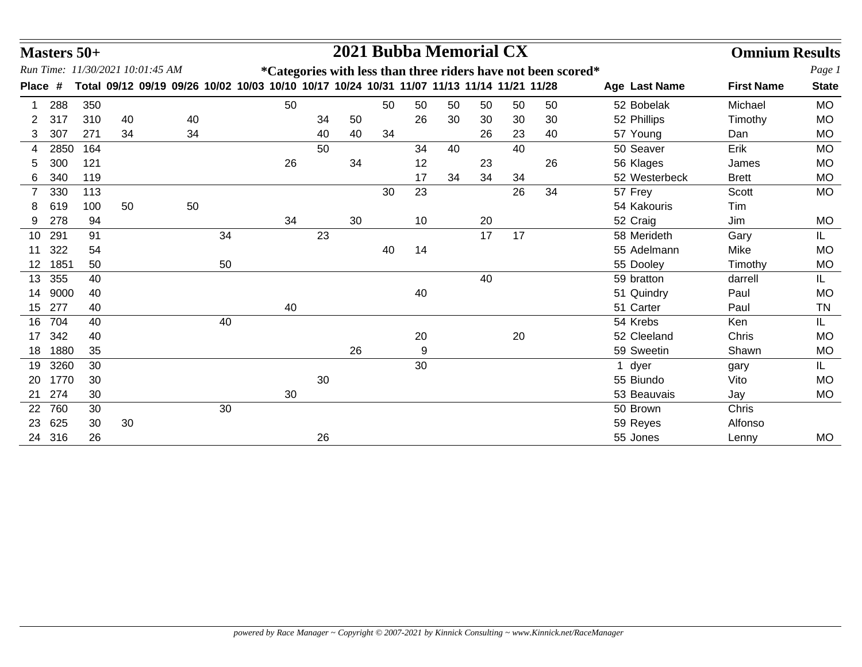|         | <b>Masters 50+</b> |     |                                                                                           |    |    |    |    |    |    |    | 2021 Bubba Memorial CX |    |    |                                                               |   |               | <b>Omnium Results</b> |              |
|---------|--------------------|-----|-------------------------------------------------------------------------------------------|----|----|----|----|----|----|----|------------------------|----|----|---------------------------------------------------------------|---|---------------|-----------------------|--------------|
|         |                    |     | Run Time: 11/30/2021 10:01:45 AM                                                          |    |    |    |    |    |    |    |                        |    |    | *Categories with less than three riders have not been scored* |   |               |                       | Page 1       |
| Place # |                    |     | Total 09/12 09/19 09/26 10/02 10/03 10/10 10/17 10/24 10/31 11/07 11/13 11/14 11/21 11/28 |    |    |    |    |    |    |    |                        |    |    |                                                               |   | Age Last Name | <b>First Name</b>     | <b>State</b> |
|         | 288                | 350 |                                                                                           |    |    | 50 |    |    | 50 | 50 | 50                     | 50 | 50 | 50                                                            |   | 52 Bobelak    | Michael               | <b>MO</b>    |
| 2       | 317                | 310 | 40                                                                                        | 40 |    |    | 34 | 50 |    | 26 | 30                     | 30 | 30 | 30                                                            |   | 52 Phillips   | Timothy               | <b>MO</b>    |
| 3       | 307                | 271 | 34                                                                                        | 34 |    |    | 40 | 40 | 34 |    |                        | 26 | 23 | 40                                                            |   | 57 Young      | Dan                   | <b>MO</b>    |
| 4       | 2850               | 164 |                                                                                           |    |    |    | 50 |    |    | 34 | 40                     |    | 40 |                                                               |   | 50 Seaver     | Erik                  | <b>MO</b>    |
| 5       | 300                | 121 |                                                                                           |    |    | 26 |    | 34 |    | 12 |                        | 23 |    | 26                                                            |   | 56 Klages     | James                 | <b>MO</b>    |
| 6       | 340                | 119 |                                                                                           |    |    |    |    |    |    | 17 | 34                     | 34 | 34 |                                                               |   | 52 Westerbeck | <b>Brett</b>          | <b>MO</b>    |
| 7       | 330                | 113 |                                                                                           |    |    |    |    |    | 30 | 23 |                        |    | 26 | 34                                                            |   | 57 Frey       | Scott                 | <b>MO</b>    |
| 8       | 619                | 100 | 50                                                                                        | 50 |    |    |    |    |    |    |                        |    |    |                                                               |   | 54 Kakouris   | Tim                   |              |
| 9       | 278                | 94  |                                                                                           |    |    | 34 |    | 30 |    | 10 |                        | 20 |    |                                                               |   | 52 Craig      | Jim                   | <b>MO</b>    |
| 10      | 291                | 91  |                                                                                           |    | 34 |    | 23 |    |    |    |                        | 17 | 17 |                                                               |   | 58 Merideth   | Gary                  | IL.          |
| 11      | 322                | 54  |                                                                                           |    |    |    |    |    | 40 | 14 |                        |    |    |                                                               |   | 55 Adelmann   | Mike                  | <b>MO</b>    |
| 12      | 1851               | 50  |                                                                                           |    | 50 |    |    |    |    |    |                        |    |    |                                                               |   | 55 Dooley     | Timothy               | <b>MO</b>    |
| 13      | 355                | 40  |                                                                                           |    |    |    |    |    |    |    |                        | 40 |    |                                                               |   | 59 bratton    | darrell               | IL.          |
| 14      | 9000               | 40  |                                                                                           |    |    |    |    |    |    | 40 |                        |    |    |                                                               |   | 51 Quindry    | Paul                  | <b>MO</b>    |
| 15      | 277                | 40  |                                                                                           |    |    | 40 |    |    |    |    |                        |    |    |                                                               |   | 51 Carter     | Paul                  | TN           |
| 16      | 704                | 40  |                                                                                           |    | 40 |    |    |    |    |    |                        |    |    |                                                               |   | 54 Krebs      | Ken                   | IL.          |
| 17      | 342                | 40  |                                                                                           |    |    |    |    |    |    | 20 |                        |    | 20 |                                                               |   | 52 Cleeland   | Chris                 | <b>MO</b>    |
| 18      | 1880               | 35  |                                                                                           |    |    |    |    | 26 |    | 9  |                        |    |    |                                                               |   | 59 Sweetin    | Shawn                 | <b>MO</b>    |
| 19      | 3260               | 30  |                                                                                           |    |    |    |    |    |    | 30 |                        |    |    |                                                               | 1 | dyer          | gary                  | IL.          |
| 20      | 1770               | 30  |                                                                                           |    |    |    | 30 |    |    |    |                        |    |    |                                                               |   | 55 Biundo     | Vito                  | <b>MO</b>    |
| 21      | 274                | 30  |                                                                                           |    |    | 30 |    |    |    |    |                        |    |    |                                                               |   | 53 Beauvais   | Jay                   | <b>MO</b>    |
| 22      | 760                | 30  |                                                                                           |    | 30 |    |    |    |    |    |                        |    |    |                                                               |   | 50 Brown      | Chris                 |              |
| 23      | 625                | 30  | 30                                                                                        |    |    |    |    |    |    |    |                        |    |    |                                                               |   | 59 Reyes      | Alfonso               |              |
| 24      | 316                | 26  |                                                                                           |    |    |    | 26 |    |    |    |                        |    |    |                                                               |   | 55 Jones      | Lenny                 | <b>MO</b>    |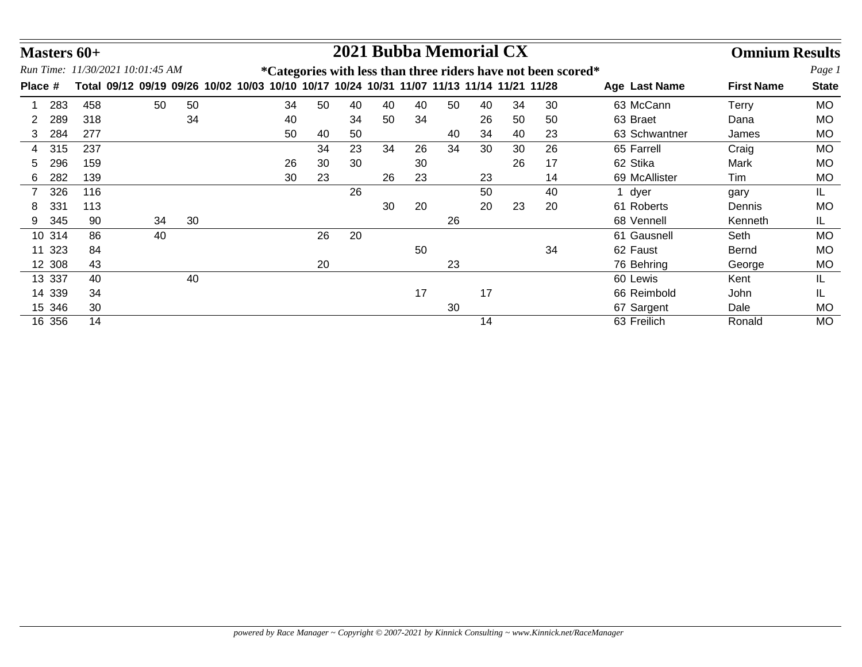|         |        | Masters 60+ |                                     |    |    |  |    |    | 2021 Bubba Memorial CX                                |    |    |    |    |    |                                                                       |               | <b>Omnium Results</b> |              |
|---------|--------|-------------|-------------------------------------|----|----|--|----|----|-------------------------------------------------------|----|----|----|----|----|-----------------------------------------------------------------------|---------------|-----------------------|--------------|
|         |        |             | Run Time: 11/30/2021 10:01:45 AM    |    |    |  |    |    |                                                       |    |    |    |    |    | <i>*</i> Categories with less than three riders have not been scored* |               |                       | Page 1       |
| Place # |        |             | Total 09/12 09/19 09/26 10/02 10/03 |    |    |  |    |    | 10/10 10/17 10/24 10/31 11/07 11/13 11/14 11/21 11/28 |    |    |    |    |    |                                                                       | Age Last Name | <b>First Name</b>     | <b>State</b> |
|         | 283    | 458         |                                     | 50 | 50 |  | 34 | 50 | 40                                                    | 40 | 40 | 50 | 40 | 34 | 30                                                                    | 63 McCann     | Terry                 | <b>MO</b>    |
|         | 289    | 318         |                                     |    | 34 |  | 40 |    | 34                                                    | 50 | 34 |    | 26 | 50 | 50                                                                    | 63 Braet      | Dana                  | <b>MO</b>    |
| 3       | 284    | 277         |                                     |    |    |  | 50 | 40 | 50                                                    |    |    | 40 | 34 | 40 | 23                                                                    | 63 Schwantner | James                 | <b>MO</b>    |
| 4       | 315    | 237         |                                     |    |    |  |    | 34 | 23                                                    | 34 | 26 | 34 | 30 | 30 | 26                                                                    | 65 Farrell    | Craig                 | <b>MO</b>    |
| 5.      | 296    | 159         |                                     |    |    |  | 26 | 30 | 30                                                    |    | 30 |    |    | 26 | 17                                                                    | 62 Stika      | Mark                  | МO           |
| 6       | 282    | 139         |                                     |    |    |  | 30 | 23 |                                                       | 26 | 23 |    | 23 |    | 14                                                                    | 69 McAllister | Tim                   | <b>MO</b>    |
|         | 326    | 116         |                                     |    |    |  |    |    | 26                                                    |    |    |    | 50 |    | 40                                                                    | 1 dyer        | gary                  | IL.          |
| 8       | 331    | 113         |                                     |    |    |  |    |    |                                                       | 30 | 20 |    | 20 | 23 | 20                                                                    | 61 Roberts    | Dennis                | <b>MO</b>    |
| 9       | 345    | 90          |                                     | 34 | 30 |  |    |    |                                                       |    |    | 26 |    |    |                                                                       | 68 Vennell    | Kenneth               | IL.          |
|         | 10 314 | 86          |                                     | 40 |    |  |    | 26 | 20                                                    |    |    |    |    |    |                                                                       | 61 Gausnell   | Seth                  | <b>MO</b>    |
|         | 11 323 | 84          |                                     |    |    |  |    |    |                                                       |    | 50 |    |    |    | 34                                                                    | 62 Faust      | Bernd                 | <b>MO</b>    |
|         | 12 308 | 43          |                                     |    |    |  |    | 20 |                                                       |    |    | 23 |    |    |                                                                       | 76 Behring    | George                | <b>MO</b>    |
|         | 13 337 | 40          |                                     |    | 40 |  |    |    |                                                       |    |    |    |    |    |                                                                       | 60 Lewis      | Kent                  | IL           |
|         | 14 339 | 34          |                                     |    |    |  |    |    |                                                       |    | 17 |    | 17 |    |                                                                       | 66 Reimbold   | John                  | IL           |
|         | 15 346 | 30          |                                     |    |    |  |    |    |                                                       |    |    | 30 |    |    |                                                                       | 67 Sargent    | Dale                  | <b>MO</b>    |
|         | 16 356 | 14          |                                     |    |    |  |    |    |                                                       |    |    |    | 14 |    |                                                                       | 63 Freilich   | Ronald                | <b>MO</b>    |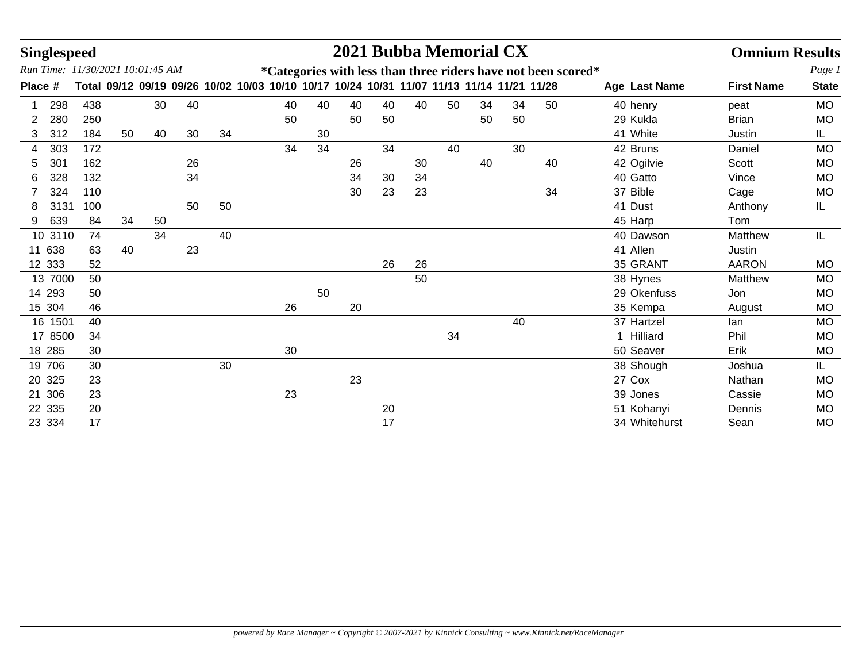| <b>Singlespeed</b> |         |     |    |                                  |    |    |    |    |    | 2021 Bubba Memorial CX                                                                    |    |    |    |    |    |                                                               |               | <b>Omnium Results</b> |              |
|--------------------|---------|-----|----|----------------------------------|----|----|----|----|----|-------------------------------------------------------------------------------------------|----|----|----|----|----|---------------------------------------------------------------|---------------|-----------------------|--------------|
|                    |         |     |    | Run Time: 11/30/2021 10:01:45 AM |    |    |    |    |    |                                                                                           |    |    |    |    |    | *Categories with less than three riders have not been scored* |               |                       | Page 1       |
| Place #            |         |     |    |                                  |    |    |    |    |    | Total 09/12 09/19 09/26 10/02 10/03 10/10 10/17 10/24 10/31 11/07 11/13 11/14 11/21 11/28 |    |    |    |    |    |                                                               | Age Last Name | <b>First Name</b>     | <b>State</b> |
|                    | 298     | 438 |    | 30                               | 40 |    | 40 | 40 | 40 | 40                                                                                        | 40 | 50 | 34 | 34 | 50 |                                                               | 40 henry      | peat                  | <b>MO</b>    |
| 2                  | 280     | 250 |    |                                  |    |    | 50 |    | 50 | 50                                                                                        |    |    | 50 | 50 |    |                                                               | 29 Kukla      | <b>Brian</b>          | <b>MO</b>    |
| 3                  | 312     | 184 | 50 | 40                               | 30 | 34 |    | 30 |    |                                                                                           |    |    |    |    |    |                                                               | 41 White      | Justin                | IL.          |
| 4                  | 303     | 172 |    |                                  |    |    | 34 | 34 |    | 34                                                                                        |    | 40 |    | 30 |    |                                                               | 42 Bruns      | Daniel                | <b>MO</b>    |
| 5                  | 301     | 162 |    |                                  | 26 |    |    |    | 26 |                                                                                           | 30 |    | 40 |    | 40 |                                                               | 42 Ogilvie    | Scott                 | <b>MO</b>    |
| 6                  | 328     | 132 |    |                                  | 34 |    |    |    | 34 | 30                                                                                        | 34 |    |    |    |    |                                                               | 40 Gatto      | Vince                 | <b>MO</b>    |
|                    | 324     | 110 |    |                                  |    |    |    |    | 30 | 23                                                                                        | 23 |    |    |    | 34 |                                                               | 37 Bible      | Cage                  | <b>MO</b>    |
| 8                  | 3131    | 100 |    |                                  | 50 | 50 |    |    |    |                                                                                           |    |    |    |    |    |                                                               | 41 Dust       | Anthony               | IL           |
| 9                  | 639     | 84  | 34 | 50                               |    |    |    |    |    |                                                                                           |    |    |    |    |    |                                                               | 45 Harp       | Tom                   |              |
|                    | 10 3110 | 74  |    | 34                               |    | 40 |    |    |    |                                                                                           |    |    |    |    |    |                                                               | 40 Dawson     | Matthew               | IL           |
| 11                 | 638     | 63  | 40 |                                  | 23 |    |    |    |    |                                                                                           |    |    |    |    |    |                                                               | 41 Allen      | Justin                |              |
| 12 333             |         | 52  |    |                                  |    |    |    |    |    | 26                                                                                        | 26 |    |    |    |    |                                                               | 35 GRANT      | <b>AARON</b>          | <b>MO</b>    |
|                    | 13 7000 | 50  |    |                                  |    |    |    |    |    |                                                                                           | 50 |    |    |    |    |                                                               | 38 Hynes      | Matthew               | <b>MO</b>    |
| 14 293             |         | 50  |    |                                  |    |    |    | 50 |    |                                                                                           |    |    |    |    |    |                                                               | 29 Okenfuss   | Jon                   | <b>MO</b>    |
| 15 304             |         | 46  |    |                                  |    |    | 26 |    | 20 |                                                                                           |    |    |    |    |    |                                                               | 35 Kempa      | August                | <b>MO</b>    |
|                    | 16 1501 | 40  |    |                                  |    |    |    |    |    |                                                                                           |    |    |    | 40 |    |                                                               | 37 Hartzel    | lan                   | <b>MO</b>    |
|                    | 17 8500 | 34  |    |                                  |    |    |    |    |    |                                                                                           |    | 34 |    |    |    |                                                               | 1 Hilliard    | Phil                  | <b>MO</b>    |
| 18 285             |         | 30  |    |                                  |    |    | 30 |    |    |                                                                                           |    |    |    |    |    |                                                               | 50 Seaver     | Erik                  | <b>MO</b>    |
| 19 706             |         | 30  |    |                                  |    | 30 |    |    |    |                                                                                           |    |    |    |    |    |                                                               | 38 Shough     | Joshua                | IL.          |
| 20 325             |         | 23  |    |                                  |    |    |    |    | 23 |                                                                                           |    |    |    |    |    |                                                               | 27 Cox        | Nathan                | <b>MO</b>    |
| 21 306             |         | 23  |    |                                  |    |    | 23 |    |    |                                                                                           |    |    |    |    |    |                                                               | 39 Jones      | Cassie                | <b>MO</b>    |
| 22 335             |         | 20  |    |                                  |    |    |    |    |    | 20                                                                                        |    |    |    |    |    |                                                               | 51 Kohanyi    | Dennis                | <b>MO</b>    |
| 23 334             |         | 17  |    |                                  |    |    |    |    |    | 17                                                                                        |    |    |    |    |    |                                                               | 34 Whitehurst | Sean                  | <b>MO</b>    |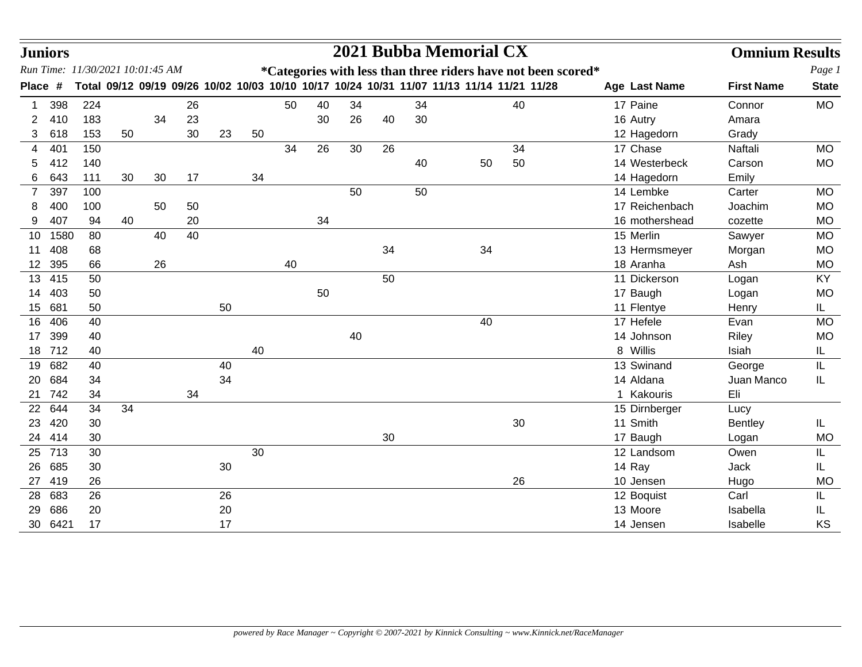|                | <b>Juniors</b> |     |                                  |    |    |    |    |    |    |    |    |    | 2021 Bubba Memorial CX                                                                    |    |                | <b>Omnium Results</b> |              |
|----------------|----------------|-----|----------------------------------|----|----|----|----|----|----|----|----|----|-------------------------------------------------------------------------------------------|----|----------------|-----------------------|--------------|
|                |                |     | Run Time: 11/30/2021 10:01:45 AM |    |    |    |    |    |    |    |    |    | *Categories with less than three riders have not been scored*                             |    |                |                       | Page 1       |
| Place #        |                |     |                                  |    |    |    |    |    |    |    |    |    | Total 09/12 09/19 09/26 10/02 10/03 10/10 10/17 10/24 10/31 11/07 11/13 11/14 11/21 11/28 |    | Age Last Name  | <b>First Name</b>     | <b>State</b> |
|                | 398            | 224 |                                  |    | 26 |    |    | 50 | 40 | 34 |    | 34 |                                                                                           | 40 | 17 Paine       | Connor                | <b>MO</b>    |
| 2              | 410            | 183 |                                  | 34 | 23 |    |    |    | 30 | 26 | 40 | 30 |                                                                                           |    | 16 Autry       | Amara                 |              |
| 3              | 618            | 153 | 50                               |    | 30 | 23 | 50 |    |    |    |    |    |                                                                                           |    | 12 Hagedorn    | Grady                 |              |
| 4              | 401            | 150 |                                  |    |    |    |    | 34 | 26 | 30 | 26 |    |                                                                                           | 34 | 17 Chase       | Naftali               | <b>MO</b>    |
| 5              | 412            | 140 |                                  |    |    |    |    |    |    |    |    | 40 | 50                                                                                        | 50 | 14 Westerbeck  | Carson                | <b>MO</b>    |
| 6              | 643            | 111 | 30                               | 30 | 17 |    | 34 |    |    |    |    |    |                                                                                           |    | 14 Hagedorn    | Emily                 |              |
| $\overline{7}$ | 397            | 100 |                                  |    |    |    |    |    |    | 50 |    | 50 |                                                                                           |    | 14 Lembke      | Carter                | <b>MO</b>    |
| 8              | 400            | 100 |                                  | 50 | 50 |    |    |    |    |    |    |    |                                                                                           |    | 17 Reichenbach | Joachim               | <b>MO</b>    |
| 9              | 407            | 94  | 40                               |    | 20 |    |    |    | 34 |    |    |    |                                                                                           |    | 16 mothershead | cozette               | <b>MO</b>    |
| 10             | 1580           | 80  |                                  | 40 | 40 |    |    |    |    |    |    |    |                                                                                           |    | 15 Merlin      | Sawyer                | <b>MO</b>    |
| 11             | 408            | 68  |                                  |    |    |    |    |    |    |    | 34 |    | 34                                                                                        |    | 13 Hermsmeyer  | Morgan                | <b>MO</b>    |
| 12             | 395            | 66  |                                  | 26 |    |    |    | 40 |    |    |    |    |                                                                                           |    | 18 Aranha      | Ash                   | <b>MO</b>    |
| 13             | 415            | 50  |                                  |    |    |    |    |    |    |    | 50 |    |                                                                                           |    | 11 Dickerson   | Logan                 | KY           |
| 14             | 403            | 50  |                                  |    |    |    |    |    | 50 |    |    |    |                                                                                           |    | 17 Baugh       | Logan                 | <b>MO</b>    |
| 15             | 681            | 50  |                                  |    |    | 50 |    |    |    |    |    |    |                                                                                           |    | 11 Flentye     | Henry                 | IL.          |
| 16             | 406            | 40  |                                  |    |    |    |    |    |    |    |    |    | 40                                                                                        |    | 17 Hefele      | Evan                  | <b>MO</b>    |
| 17             | 399            | 40  |                                  |    |    |    |    |    |    | 40 |    |    |                                                                                           |    | 14 Johnson     | Riley                 | <b>MO</b>    |
| 18             | 712            | 40  |                                  |    |    |    | 40 |    |    |    |    |    |                                                                                           |    | 8 Willis       | Isiah                 | IL           |
| 19             | 682            | 40  |                                  |    |    | 40 |    |    |    |    |    |    |                                                                                           |    | 13 Swinand     | George                | IL           |
| 20             | 684            | 34  |                                  |    |    | 34 |    |    |    |    |    |    |                                                                                           |    | 14 Aldana      | Juan Manco            | IL           |
| 21             | 742            | 34  |                                  |    | 34 |    |    |    |    |    |    |    |                                                                                           |    | 1 Kakouris     | Eli                   |              |
| 22             | 644            | 34  | 34                               |    |    |    |    |    |    |    |    |    |                                                                                           |    | 15 Dirnberger  | Lucy                  |              |
| 23             | 420            | 30  |                                  |    |    |    |    |    |    |    |    |    |                                                                                           | 30 | 11 Smith       | <b>Bentley</b>        | IL           |
| 24             | 414            | 30  |                                  |    |    |    |    |    |    |    | 30 |    |                                                                                           |    | 17 Baugh       | Logan                 | <b>MO</b>    |
| 25             | 713            | 30  |                                  |    |    |    | 30 |    |    |    |    |    |                                                                                           |    | 12 Landsom     | Owen                  | IL           |
| 26             | 685            | 30  |                                  |    |    | 30 |    |    |    |    |    |    |                                                                                           |    | 14 Ray         | Jack                  | IL.          |
| 27             | 419            | 26  |                                  |    |    |    |    |    |    |    |    |    |                                                                                           | 26 | 10 Jensen      | Hugo                  | <b>MO</b>    |
| 28             | 683            | 26  |                                  |    |    | 26 |    |    |    |    |    |    |                                                                                           |    | 12 Boquist     | Carl                  | IL           |
| 29             | 686            | 20  |                                  |    |    | 20 |    |    |    |    |    |    |                                                                                           |    | 13 Moore       | Isabella              | IL           |
|                | 30 6421        | 17  |                                  |    |    | 17 |    |    |    |    |    |    |                                                                                           |    | 14 Jensen      | Isabelle              | KS           |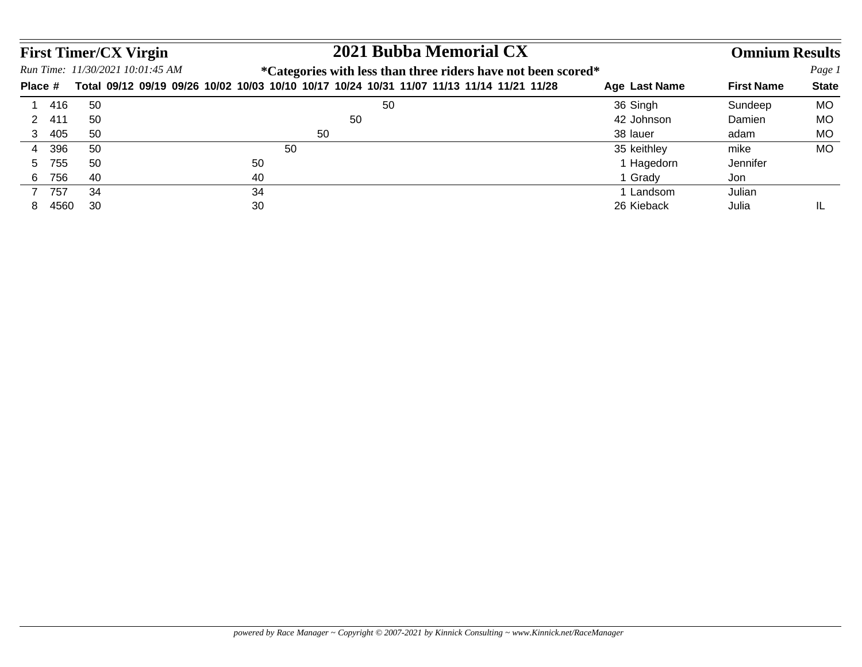|         |       |     | 2021 Bubba Memorial CX<br><b>First Timer/CX Virgin</b>                                                    |               | <b>Omnium Results</b> |              |
|---------|-------|-----|-----------------------------------------------------------------------------------------------------------|---------------|-----------------------|--------------|
|         |       |     | Run Time: 11/30/2021 10:01:45 AM<br><i>*</i> Categories with less than three riders have not been scored* |               |                       | Page 1       |
| Place # |       |     | Total 09/12 09/19 09/26 10/02 10/03 10/10 10/17 10/24 10/31 11/07 11/13 11/14 11/21 11/28                 | Age Last Name | <b>First Name</b>     | <b>State</b> |
|         | - 416 | 50  | 50                                                                                                        | 36 Singh      | Sundeep               | <b>MO</b>    |
|         | -411  | 50  | 50                                                                                                        | 42 Johnson    | Damien                | MO           |
|         | 3 405 | 50  | 50                                                                                                        | 38 lauer      | adam                  | MO           |
|         | 396   | 50  | 50                                                                                                        | 35 keithley   | mike                  | MO           |
| 5.      | 755   | 50  | 50                                                                                                        | 1 Hagedorn    | Jennifer              |              |
| 6       | 756   | -40 | 40                                                                                                        | 1 Grady       | Jon                   |              |
|         | 757   | 34  | 34                                                                                                        | I Landsom     | Julian                |              |
| 8       | 4560  | 30  | 30                                                                                                        | 26 Kieback    | Julia                 | - IL         |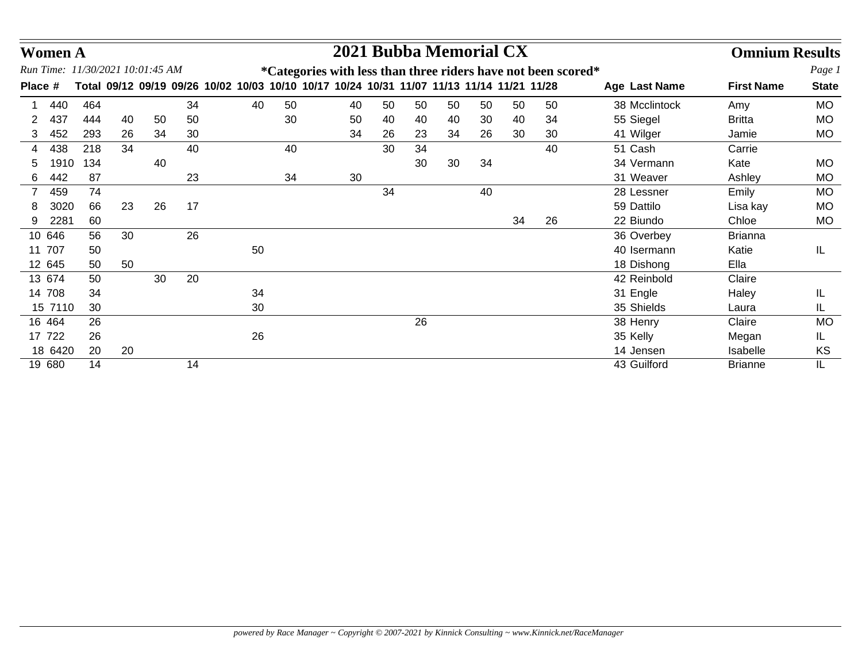|                | <b>Women A</b> |     |                                  |    |    |                                                                                           |    |    |    | 2021 Bubba Memorial CX |    |    |    |    |                                                                       |               | <b>Omnium Results</b> |              |
|----------------|----------------|-----|----------------------------------|----|----|-------------------------------------------------------------------------------------------|----|----|----|------------------------|----|----|----|----|-----------------------------------------------------------------------|---------------|-----------------------|--------------|
|                |                |     | Run Time: 11/30/2021 10:01:45 AM |    |    |                                                                                           |    |    |    |                        |    |    |    |    | <i>*</i> Categories with less than three riders have not been scored* |               |                       | Page 1       |
| Place #        |                |     |                                  |    |    | Total 09/12 09/19 09/26 10/02 10/03 10/10 10/17 10/24 10/31 11/07 11/13 11/14 11/21 11/28 |    |    |    |                        |    |    |    |    |                                                                       | Age Last Name | <b>First Name</b>     | <b>State</b> |
|                | 440            | 464 |                                  |    | 34 |                                                                                           | 40 | 50 | 40 | 50                     | 50 | 50 | 50 | 50 | 50                                                                    | 38 Mcclintock | Amy                   | <b>MO</b>    |
| 2              | 437            | 444 | 40                               | 50 | 50 |                                                                                           |    | 30 | 50 | 40                     | 40 | 40 | 30 | 40 | 34                                                                    | 55 Siegel     | <b>Britta</b>         | <b>MO</b>    |
|                | 452            | 293 | 26                               | 34 | 30 |                                                                                           |    |    | 34 | 26                     | 23 | 34 | 26 | 30 | 30                                                                    | 41 Wilger     | Jamie                 | MO           |
| 4              | 438            | 218 | 34                               |    | 40 |                                                                                           |    | 40 |    | 30                     | 34 |    |    |    | 40                                                                    | 51 Cash       | Carrie                |              |
| 5              | 1910           | 134 |                                  | 40 |    |                                                                                           |    |    |    |                        | 30 | 30 | 34 |    |                                                                       | 34 Vermann    | Kate                  | <b>MO</b>    |
| 6              | 442            | 87  |                                  |    | 23 |                                                                                           |    | 34 | 30 |                        |    |    |    |    |                                                                       | 31 Weaver     | Ashley                | <b>MO</b>    |
| $\overline{7}$ | 459            | 74  |                                  |    |    |                                                                                           |    |    |    | 34                     |    |    | 40 |    |                                                                       | 28 Lessner    | Emily                 | <b>MO</b>    |
| 8              | 3020           | 66  | 23                               | 26 | 17 |                                                                                           |    |    |    |                        |    |    |    |    |                                                                       | 59 Dattilo    | Lisa kay              | <b>MO</b>    |
|                | 2281           | 60  |                                  |    |    |                                                                                           |    |    |    |                        |    |    |    | 34 | 26                                                                    | 22 Biundo     | Chloe                 | MO           |
|                | 10 646         | 56  | 30                               |    | 26 |                                                                                           |    |    |    |                        |    |    |    |    |                                                                       | 36 Overbey    | <b>Brianna</b>        |              |
| 11             | 707            | 50  |                                  |    |    |                                                                                           | 50 |    |    |                        |    |    |    |    |                                                                       | 40 Isermann   | Katie                 | IL           |
|                | 12 645         | 50  | 50                               |    |    |                                                                                           |    |    |    |                        |    |    |    |    |                                                                       | 18 Dishong    | Ella                  |              |
|                | 13 674         | 50  |                                  | 30 | 20 |                                                                                           |    |    |    |                        |    |    |    |    |                                                                       | 42 Reinbold   | Claire                |              |
|                | 14 708         | 34  |                                  |    |    |                                                                                           | 34 |    |    |                        |    |    |    |    |                                                                       | 31 Engle      | Haley                 | IL           |
|                | 15 7110        | 30  |                                  |    |    |                                                                                           | 30 |    |    |                        |    |    |    |    |                                                                       | 35 Shields    | Laura                 | IL           |
|                | 16 464         | 26  |                                  |    |    |                                                                                           |    |    |    |                        | 26 |    |    |    |                                                                       | 38 Henry      | Claire                | <b>MO</b>    |
|                | 17 722         | 26  |                                  |    |    |                                                                                           | 26 |    |    |                        |    |    |    |    |                                                                       | 35 Kelly      | Megan                 | IL           |
|                | 18 6420        | 20  | 20                               |    |    |                                                                                           |    |    |    |                        |    |    |    |    |                                                                       | 14 Jensen     | <b>Isabelle</b>       | KS           |
|                | 19 680         | 14  |                                  |    | 14 |                                                                                           |    |    |    |                        |    |    |    |    |                                                                       | 43 Guilford   | <b>Brianne</b>        | IL           |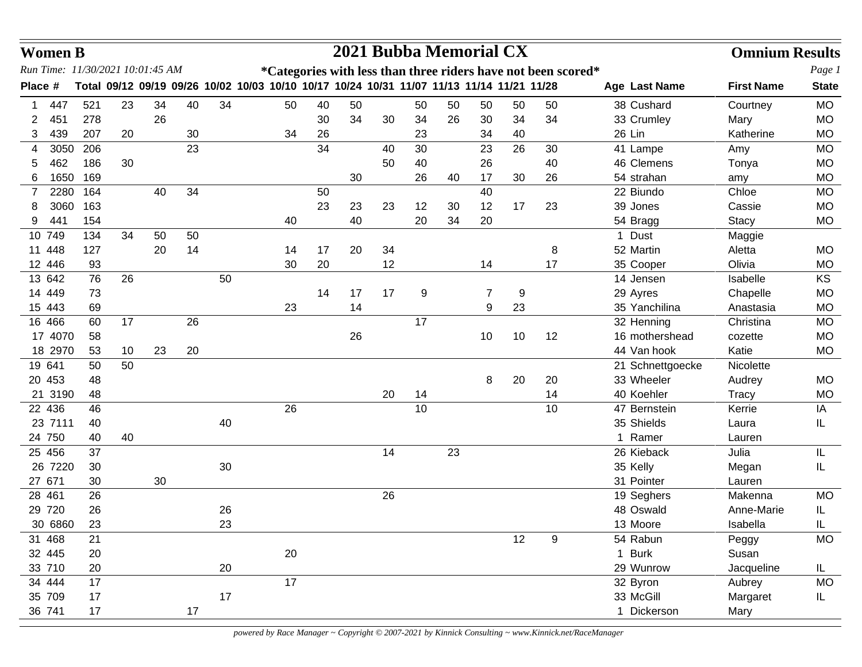|         | <b>Women B</b> |     |                                  |    |    |    |                                                                                           |    |    |    |    |    | 2021 Bubba Memorial CX |    |                  |                  | <b>Omnium Results</b> |              |
|---------|----------------|-----|----------------------------------|----|----|----|-------------------------------------------------------------------------------------------|----|----|----|----|----|------------------------|----|------------------|------------------|-----------------------|--------------|
|         |                |     | Run Time: 11/30/2021 10:01:45 AM |    |    |    | *Categories with less than three riders have not been scored*                             |    |    |    |    |    |                        |    |                  |                  |                       | Page 1       |
| Place # |                |     |                                  |    |    |    | Total 09/12 09/19 09/26 10/02 10/03 10/10 10/17 10/24 10/31 11/07 11/13 11/14 11/21 11/28 |    |    |    |    |    |                        |    |                  | Age Last Name    | <b>First Name</b>     | <b>State</b> |
|         | 447            | 521 | 23                               | 34 | 40 | 34 | 50                                                                                        | 40 | 50 |    | 50 | 50 | 50                     | 50 | 50               | 38 Cushard       | Courtney              | <b>MO</b>    |
| 2       | 451            | 278 |                                  | 26 |    |    |                                                                                           | 30 | 34 | 30 | 34 | 26 | 30                     | 34 | 34               | 33 Crumley       | Mary                  | <b>MO</b>    |
| 3       | 439            | 207 | 20                               |    | 30 |    | 34                                                                                        | 26 |    |    | 23 |    | 34                     | 40 |                  | 26 Lin           | Katherine             | <b>MO</b>    |
| 4       | 3050           | 206 |                                  |    | 23 |    |                                                                                           | 34 |    | 40 | 30 |    | 23                     | 26 | 30               | 41 Lampe         | Amy                   | <b>MO</b>    |
| 5       | 462            | 186 | 30                               |    |    |    |                                                                                           |    |    | 50 | 40 |    | 26                     |    | 40               | 46 Clemens       | Tonya                 | <b>MO</b>    |
| 6       | 1650           | 169 |                                  |    |    |    |                                                                                           |    | 30 |    | 26 | 40 | 17                     | 30 | 26               | 54 strahan       | amy                   | MO           |
| 7       | 2280           | 164 |                                  | 40 | 34 |    |                                                                                           | 50 |    |    |    |    | 40                     |    |                  | 22 Biundo        | Chloe                 | <b>MO</b>    |
| 8       | 3060           | 163 |                                  |    |    |    |                                                                                           | 23 | 23 | 23 | 12 | 30 | 12                     | 17 | 23               | 39 Jones         | Cassie                | <b>MO</b>    |
| 9       | 441            | 154 |                                  |    |    |    | 40                                                                                        |    | 40 |    | 20 | 34 | 20                     |    |                  | 54 Bragg         | <b>Stacy</b>          | <b>MO</b>    |
| 10 749  |                | 134 | 34                               | 50 | 50 |    |                                                                                           |    |    |    |    |    |                        |    |                  | 1 Dust           | Maggie                |              |
| 11 448  |                | 127 |                                  | 20 | 14 |    | 14                                                                                        | 17 | 20 | 34 |    |    |                        |    | 8                | 52 Martin        | Aletta                | <b>MO</b>    |
| 12 446  |                | 93  |                                  |    |    |    | 30                                                                                        | 20 |    | 12 |    |    | 14                     |    | 17               | 35 Cooper        | Olivia                | <b>MO</b>    |
| 13 642  |                | 76  | 26                               |    |    | 50 |                                                                                           |    |    |    |    |    |                        |    |                  | 14 Jensen        | Isabelle              | KS           |
| 14 449  |                | 73  |                                  |    |    |    |                                                                                           | 14 | 17 | 17 | 9  |    | $\overline{7}$         | 9  |                  | 29 Ayres         | Chapelle              | <b>MO</b>    |
| 15 443  |                | 69  |                                  |    |    |    | 23                                                                                        |    | 14 |    |    |    | 9                      | 23 |                  | 35 Yanchilina    | Anastasia             | <b>MO</b>    |
| 16 466  |                | 60  | 17                               |    | 26 |    |                                                                                           |    |    |    | 17 |    |                        |    |                  | 32 Henning       | Christina             | <b>MO</b>    |
|         | 17 4070        | 58  |                                  |    |    |    |                                                                                           |    | 26 |    |    |    | 10                     | 10 | 12               | 16 mothershead   | cozette               | <b>MO</b>    |
|         | 18 2970        | 53  | 10                               | 23 | 20 |    |                                                                                           |    |    |    |    |    |                        |    |                  | 44 Van hook      | Katie                 | <b>MO</b>    |
| 19 641  |                | 50  | 50                               |    |    |    |                                                                                           |    |    |    |    |    |                        |    |                  | 21 Schnettgoecke | Nicolette             |              |
| 20 453  |                | 48  |                                  |    |    |    |                                                                                           |    |    |    |    |    | 8                      | 20 | 20               | 33 Wheeler       | Audrey                | <b>MO</b>    |
|         | 21 3190        | 48  |                                  |    |    |    |                                                                                           |    |    | 20 | 14 |    |                        |    | 14               | 40 Koehler       | Tracy                 | <b>MO</b>    |
| 22 436  |                | 46  |                                  |    |    |    | 26                                                                                        |    |    |    | 10 |    |                        |    | 10               | 47 Bernstein     | Kerrie                | IA           |
|         | 23 7111        | 40  |                                  |    |    | 40 |                                                                                           |    |    |    |    |    |                        |    |                  | 35 Shields       | Laura                 | IL           |
| 24 750  |                | 40  | 40                               |    |    |    |                                                                                           |    |    |    |    |    |                        |    |                  | 1 Ramer          | Lauren                |              |
| 25 456  |                | 37  |                                  |    |    |    |                                                                                           |    |    | 14 |    | 23 |                        |    |                  | 26 Kieback       | Julia                 | IL           |
|         | 26 7220        | 30  |                                  |    |    | 30 |                                                                                           |    |    |    |    |    |                        |    |                  | 35 Kelly         | Megan                 | IL           |
| 27 671  |                | 30  |                                  | 30 |    |    |                                                                                           |    |    |    |    |    |                        |    |                  | 31 Pointer       | Lauren                |              |
| 28 461  |                | 26  |                                  |    |    |    |                                                                                           |    |    | 26 |    |    |                        |    |                  | 19 Seghers       | Makenna               | <b>MO</b>    |
| 29 720  |                | 26  |                                  |    |    | 26 |                                                                                           |    |    |    |    |    |                        |    |                  | 48 Oswald        | Anne-Marie            | IL           |
|         | 30 6860        | 23  |                                  |    |    | 23 |                                                                                           |    |    |    |    |    |                        |    |                  | 13 Moore         | Isabella              | IL           |
| 31 468  |                | 21  |                                  |    |    |    |                                                                                           |    |    |    |    |    |                        | 12 | $\boldsymbol{9}$ | 54 Rabun         | Peggy                 | MO           |
| 32 445  |                | 20  |                                  |    |    |    | 20                                                                                        |    |    |    |    |    |                        |    |                  | 1 Burk           | Susan                 |              |
| 33 710  |                | 20  |                                  |    |    | 20 |                                                                                           |    |    |    |    |    |                        |    |                  | 29 Wunrow        | Jacqueline            | IL.          |
| 34 444  |                | 17  |                                  |    |    |    | 17                                                                                        |    |    |    |    |    |                        |    |                  | 32 Byron         | Aubrey                | <b>MO</b>    |
| 35 709  |                | 17  |                                  |    |    | 17 |                                                                                           |    |    |    |    |    |                        |    |                  | 33 McGill        | Margaret              | IL           |
| 36 741  |                | 17  |                                  |    | 17 |    |                                                                                           |    |    |    |    |    |                        |    |                  | 1 Dickerson      | Mary                  |              |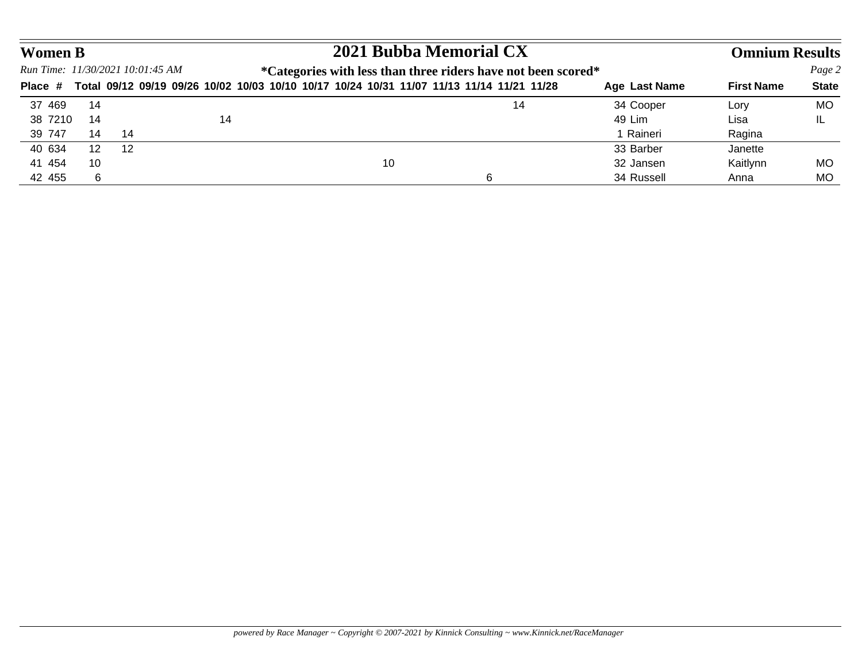| <b>Women B</b> |                   |                                  |    |    | 2021 Bubba Memorial CX                                                                    |               | <b>Omnium Results</b> |              |
|----------------|-------------------|----------------------------------|----|----|-------------------------------------------------------------------------------------------|---------------|-----------------------|--------------|
|                |                   | Run Time: 11/30/2021 10:01:45 AM |    |    | *Categories with less than three riders have not been scored*                             |               |                       | Page 2       |
| Place #        |                   |                                  |    |    | Total 09/12 09/19 09/26 10/02 10/03 10/10 10/17 10/24 10/31 11/07 11/13 11/14 11/21 11/28 | Age Last Name | <b>First Name</b>     | <b>State</b> |
| 37 469         | 14                |                                  |    |    | 14                                                                                        | 34 Cooper     | Lory                  | MO           |
| 38 7210        | 14                |                                  | 14 |    |                                                                                           | 49 Lim        | Lisa                  | IL           |
| 39 747         | 14                | 14                               |    |    |                                                                                           | 1 Raineri     | Ragina                |              |
| 40 634         | $12 \overline{ }$ | -12                              |    |    |                                                                                           | 33 Barber     | Janette               |              |
| 41 454         | 10                |                                  |    | 10 |                                                                                           | 32 Jansen     | Kaitlynn              | МO           |
| 42 455         | 6                 |                                  |    |    | 6                                                                                         | 34 Russell    | Anna                  | MO           |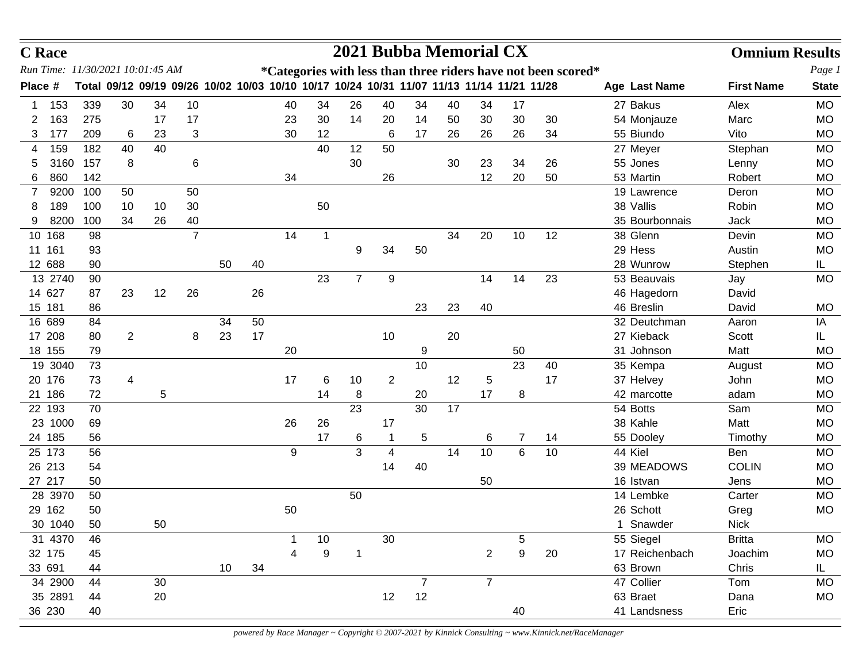| Run Time: 11/30/2021 10:01:45 AM<br>Page 1<br>*Categories with less than three riders have not been scored*<br>Total 09/12 09/19 09/26 10/02 10/03 10/10 10/17 10/24 10/31 11/07 11/13 11/14 11/21 11/28<br><b>First Name</b><br>Place #<br>Age Last Name<br><b>State</b><br>339<br>30<br>10<br>34<br>26<br>40<br>34<br>27 Bakus<br><b>MO</b><br>153<br>34<br>40<br>40<br>34<br>17<br>Alex<br>163<br>275<br>17<br>23<br>30<br>14<br>20<br>14<br>30<br>30<br>30<br>MO<br>17<br>50<br>54 Monjauze<br>Marc<br>2<br>3<br>34<br>177<br>209<br>23<br>30<br>17<br>26<br>26<br>55 Biundo<br>Vito<br><b>MO</b><br>6<br>12<br>6<br>26<br>3<br>40<br>12<br>50<br>182<br>40<br>40<br>Stephan<br><b>MO</b><br>159<br>27 Meyer<br>4<br>8<br>30<br>157<br>6<br>23<br>26<br>MO<br>3160<br>30<br>34<br>55 Jones<br>Lenny<br>20<br>860<br>142<br>34<br>26<br>12<br>50<br>53 Martin<br>Robert<br><b>MO</b><br>6<br>9200<br>100<br>50<br>19 Lawrence<br><b>MO</b><br>50<br>Deron<br>7<br>38 Vallis<br>189<br>100<br>30<br>50<br>Robin<br><b>MO</b><br>10<br>10<br>8<br>8200<br>100<br>34<br>40<br>35 Bourbonnais<br>26<br>Jack<br><b>MO</b><br>9<br>$\overline{7}$<br>38 Glenn<br>34<br>20<br>10<br>Devin<br>10 168<br>98<br>14<br>12<br><b>MO</b><br>$\mathbf{1}$<br>34<br>11 161<br>50<br>29 Hess<br>Austin<br>MO<br>93<br>9<br>12 688<br>28 Wunrow<br>50<br>40<br>IL.<br>90<br>Stephen<br>23<br>$\overline{7}$<br>23<br>13 2740<br>9<br>14<br>14<br>53 Beauvais<br><b>MO</b><br>90<br>Jay<br>14 627<br>23<br>12<br>26<br>26<br>87<br>46 Hagedorn<br>David<br>23<br>46 Breslin<br>15 181<br>23<br>40<br>86<br>David<br><b>MO</b><br>16 689<br>32 Deutchman<br>34<br>50<br>IA<br>84<br>Aaron<br>17 208<br>17<br>$\overline{c}$<br>23<br>10<br>20<br>27 Kieback<br>80<br>8<br>Scott<br>IL<br>20<br>18 155<br>79<br>9<br>50<br>31 Johnson<br>Matt<br><b>MO</b><br>23<br>19 3040<br>10<br>40<br>35 Kempa<br>73<br><b>MO</b><br>August<br>20 176<br>$\overline{2}$<br>12<br>17<br>73<br>17<br>6<br>10<br>5<br>37 Helvey<br>4<br>John<br><b>MO</b><br>21 186<br>72<br>5<br>8<br>17<br><b>MO</b><br>14<br>20<br>8<br>42 marcotte<br>adam<br>30<br>22 193<br>70<br>23<br>17<br>54 Botts<br>Sam<br><b>MO</b><br>23 1000<br>26<br>26<br>38 Kahle<br>Matt<br><b>MO</b><br>69<br>17<br>14<br>24 185<br>17<br>5<br>55 Dooley<br>56<br>6<br>7<br>Timothy<br><b>MO</b><br>6<br>25 173<br>9<br>3<br>10<br>6<br>10<br>44 Kiel<br>56<br>14<br>4<br>Ben<br><b>MO</b><br>26 213<br>39 MEADOWS<br><b>COLIN</b><br><b>MO</b><br>54<br>14<br>40<br>27 217<br>50<br>16 Istvan<br><b>MO</b><br>50<br>Jens<br>28 3970<br>50<br>14 Lembke<br><b>MO</b><br>50<br>Carter<br>29 162<br>26 Schott<br>50<br>50<br><b>MO</b><br>Greg<br>30 1040<br>50<br>50<br>1 Snawder<br><b>Nick</b><br>30<br>31 4370<br>10<br>5<br>55 Siegel<br><b>Britta</b><br>MO<br>46<br>32 175<br>9<br>9<br>17 Reichenbach<br>$\overline{2}$<br>20<br>Joachim<br>MO<br>45<br>33 691<br>10<br>34<br>63 Brown<br>Chris<br>44<br>IL.<br>47 Collier<br>34 2900<br>$\overline{7}$<br>44<br>30<br>Tom<br>MO<br>7<br>12<br>35 2891<br>12<br>20<br>63 Braet<br>Dana<br>MO<br>44<br>36 230<br>Eric<br>41 Landsness<br>40<br>40 | <b>C</b> Race |  |  |  |  |  |  | 2021 Bubba Memorial CX |  | <b>Omnium Results</b> |  |
|---------------------------------------------------------------------------------------------------------------------------------------------------------------------------------------------------------------------------------------------------------------------------------------------------------------------------------------------------------------------------------------------------------------------------------------------------------------------------------------------------------------------------------------------------------------------------------------------------------------------------------------------------------------------------------------------------------------------------------------------------------------------------------------------------------------------------------------------------------------------------------------------------------------------------------------------------------------------------------------------------------------------------------------------------------------------------------------------------------------------------------------------------------------------------------------------------------------------------------------------------------------------------------------------------------------------------------------------------------------------------------------------------------------------------------------------------------------------------------------------------------------------------------------------------------------------------------------------------------------------------------------------------------------------------------------------------------------------------------------------------------------------------------------------------------------------------------------------------------------------------------------------------------------------------------------------------------------------------------------------------------------------------------------------------------------------------------------------------------------------------------------------------------------------------------------------------------------------------------------------------------------------------------------------------------------------------------------------------------------------------------------------------------------------------------------------------------------------------------------------------------------------------------------------------------------------------------------------------------------------------------------------------------------------------------------------------------------------------------------------------------------------------------------------------------------------------------------------------------------------------------------------------------------------------------------------------------------------------------------------------------------------------------------------------------------------------------------------------------------------------------------------|---------------|--|--|--|--|--|--|------------------------|--|-----------------------|--|
|                                                                                                                                                                                                                                                                                                                                                                                                                                                                                                                                                                                                                                                                                                                                                                                                                                                                                                                                                                                                                                                                                                                                                                                                                                                                                                                                                                                                                                                                                                                                                                                                                                                                                                                                                                                                                                                                                                                                                                                                                                                                                                                                                                                                                                                                                                                                                                                                                                                                                                                                                                                                                                                                                                                                                                                                                                                                                                                                                                                                                                                                                                                                             |               |  |  |  |  |  |  |                        |  |                       |  |
|                                                                                                                                                                                                                                                                                                                                                                                                                                                                                                                                                                                                                                                                                                                                                                                                                                                                                                                                                                                                                                                                                                                                                                                                                                                                                                                                                                                                                                                                                                                                                                                                                                                                                                                                                                                                                                                                                                                                                                                                                                                                                                                                                                                                                                                                                                                                                                                                                                                                                                                                                                                                                                                                                                                                                                                                                                                                                                                                                                                                                                                                                                                                             |               |  |  |  |  |  |  |                        |  |                       |  |
|                                                                                                                                                                                                                                                                                                                                                                                                                                                                                                                                                                                                                                                                                                                                                                                                                                                                                                                                                                                                                                                                                                                                                                                                                                                                                                                                                                                                                                                                                                                                                                                                                                                                                                                                                                                                                                                                                                                                                                                                                                                                                                                                                                                                                                                                                                                                                                                                                                                                                                                                                                                                                                                                                                                                                                                                                                                                                                                                                                                                                                                                                                                                             |               |  |  |  |  |  |  |                        |  |                       |  |
|                                                                                                                                                                                                                                                                                                                                                                                                                                                                                                                                                                                                                                                                                                                                                                                                                                                                                                                                                                                                                                                                                                                                                                                                                                                                                                                                                                                                                                                                                                                                                                                                                                                                                                                                                                                                                                                                                                                                                                                                                                                                                                                                                                                                                                                                                                                                                                                                                                                                                                                                                                                                                                                                                                                                                                                                                                                                                                                                                                                                                                                                                                                                             |               |  |  |  |  |  |  |                        |  |                       |  |
|                                                                                                                                                                                                                                                                                                                                                                                                                                                                                                                                                                                                                                                                                                                                                                                                                                                                                                                                                                                                                                                                                                                                                                                                                                                                                                                                                                                                                                                                                                                                                                                                                                                                                                                                                                                                                                                                                                                                                                                                                                                                                                                                                                                                                                                                                                                                                                                                                                                                                                                                                                                                                                                                                                                                                                                                                                                                                                                                                                                                                                                                                                                                             |               |  |  |  |  |  |  |                        |  |                       |  |
|                                                                                                                                                                                                                                                                                                                                                                                                                                                                                                                                                                                                                                                                                                                                                                                                                                                                                                                                                                                                                                                                                                                                                                                                                                                                                                                                                                                                                                                                                                                                                                                                                                                                                                                                                                                                                                                                                                                                                                                                                                                                                                                                                                                                                                                                                                                                                                                                                                                                                                                                                                                                                                                                                                                                                                                                                                                                                                                                                                                                                                                                                                                                             |               |  |  |  |  |  |  |                        |  |                       |  |
|                                                                                                                                                                                                                                                                                                                                                                                                                                                                                                                                                                                                                                                                                                                                                                                                                                                                                                                                                                                                                                                                                                                                                                                                                                                                                                                                                                                                                                                                                                                                                                                                                                                                                                                                                                                                                                                                                                                                                                                                                                                                                                                                                                                                                                                                                                                                                                                                                                                                                                                                                                                                                                                                                                                                                                                                                                                                                                                                                                                                                                                                                                                                             |               |  |  |  |  |  |  |                        |  |                       |  |
|                                                                                                                                                                                                                                                                                                                                                                                                                                                                                                                                                                                                                                                                                                                                                                                                                                                                                                                                                                                                                                                                                                                                                                                                                                                                                                                                                                                                                                                                                                                                                                                                                                                                                                                                                                                                                                                                                                                                                                                                                                                                                                                                                                                                                                                                                                                                                                                                                                                                                                                                                                                                                                                                                                                                                                                                                                                                                                                                                                                                                                                                                                                                             |               |  |  |  |  |  |  |                        |  |                       |  |
|                                                                                                                                                                                                                                                                                                                                                                                                                                                                                                                                                                                                                                                                                                                                                                                                                                                                                                                                                                                                                                                                                                                                                                                                                                                                                                                                                                                                                                                                                                                                                                                                                                                                                                                                                                                                                                                                                                                                                                                                                                                                                                                                                                                                                                                                                                                                                                                                                                                                                                                                                                                                                                                                                                                                                                                                                                                                                                                                                                                                                                                                                                                                             |               |  |  |  |  |  |  |                        |  |                       |  |
|                                                                                                                                                                                                                                                                                                                                                                                                                                                                                                                                                                                                                                                                                                                                                                                                                                                                                                                                                                                                                                                                                                                                                                                                                                                                                                                                                                                                                                                                                                                                                                                                                                                                                                                                                                                                                                                                                                                                                                                                                                                                                                                                                                                                                                                                                                                                                                                                                                                                                                                                                                                                                                                                                                                                                                                                                                                                                                                                                                                                                                                                                                                                             |               |  |  |  |  |  |  |                        |  |                       |  |
|                                                                                                                                                                                                                                                                                                                                                                                                                                                                                                                                                                                                                                                                                                                                                                                                                                                                                                                                                                                                                                                                                                                                                                                                                                                                                                                                                                                                                                                                                                                                                                                                                                                                                                                                                                                                                                                                                                                                                                                                                                                                                                                                                                                                                                                                                                                                                                                                                                                                                                                                                                                                                                                                                                                                                                                                                                                                                                                                                                                                                                                                                                                                             |               |  |  |  |  |  |  |                        |  |                       |  |
|                                                                                                                                                                                                                                                                                                                                                                                                                                                                                                                                                                                                                                                                                                                                                                                                                                                                                                                                                                                                                                                                                                                                                                                                                                                                                                                                                                                                                                                                                                                                                                                                                                                                                                                                                                                                                                                                                                                                                                                                                                                                                                                                                                                                                                                                                                                                                                                                                                                                                                                                                                                                                                                                                                                                                                                                                                                                                                                                                                                                                                                                                                                                             |               |  |  |  |  |  |  |                        |  |                       |  |
|                                                                                                                                                                                                                                                                                                                                                                                                                                                                                                                                                                                                                                                                                                                                                                                                                                                                                                                                                                                                                                                                                                                                                                                                                                                                                                                                                                                                                                                                                                                                                                                                                                                                                                                                                                                                                                                                                                                                                                                                                                                                                                                                                                                                                                                                                                                                                                                                                                                                                                                                                                                                                                                                                                                                                                                                                                                                                                                                                                                                                                                                                                                                             |               |  |  |  |  |  |  |                        |  |                       |  |
|                                                                                                                                                                                                                                                                                                                                                                                                                                                                                                                                                                                                                                                                                                                                                                                                                                                                                                                                                                                                                                                                                                                                                                                                                                                                                                                                                                                                                                                                                                                                                                                                                                                                                                                                                                                                                                                                                                                                                                                                                                                                                                                                                                                                                                                                                                                                                                                                                                                                                                                                                                                                                                                                                                                                                                                                                                                                                                                                                                                                                                                                                                                                             |               |  |  |  |  |  |  |                        |  |                       |  |
|                                                                                                                                                                                                                                                                                                                                                                                                                                                                                                                                                                                                                                                                                                                                                                                                                                                                                                                                                                                                                                                                                                                                                                                                                                                                                                                                                                                                                                                                                                                                                                                                                                                                                                                                                                                                                                                                                                                                                                                                                                                                                                                                                                                                                                                                                                                                                                                                                                                                                                                                                                                                                                                                                                                                                                                                                                                                                                                                                                                                                                                                                                                                             |               |  |  |  |  |  |  |                        |  |                       |  |
|                                                                                                                                                                                                                                                                                                                                                                                                                                                                                                                                                                                                                                                                                                                                                                                                                                                                                                                                                                                                                                                                                                                                                                                                                                                                                                                                                                                                                                                                                                                                                                                                                                                                                                                                                                                                                                                                                                                                                                                                                                                                                                                                                                                                                                                                                                                                                                                                                                                                                                                                                                                                                                                                                                                                                                                                                                                                                                                                                                                                                                                                                                                                             |               |  |  |  |  |  |  |                        |  |                       |  |
|                                                                                                                                                                                                                                                                                                                                                                                                                                                                                                                                                                                                                                                                                                                                                                                                                                                                                                                                                                                                                                                                                                                                                                                                                                                                                                                                                                                                                                                                                                                                                                                                                                                                                                                                                                                                                                                                                                                                                                                                                                                                                                                                                                                                                                                                                                                                                                                                                                                                                                                                                                                                                                                                                                                                                                                                                                                                                                                                                                                                                                                                                                                                             |               |  |  |  |  |  |  |                        |  |                       |  |
|                                                                                                                                                                                                                                                                                                                                                                                                                                                                                                                                                                                                                                                                                                                                                                                                                                                                                                                                                                                                                                                                                                                                                                                                                                                                                                                                                                                                                                                                                                                                                                                                                                                                                                                                                                                                                                                                                                                                                                                                                                                                                                                                                                                                                                                                                                                                                                                                                                                                                                                                                                                                                                                                                                                                                                                                                                                                                                                                                                                                                                                                                                                                             |               |  |  |  |  |  |  |                        |  |                       |  |
|                                                                                                                                                                                                                                                                                                                                                                                                                                                                                                                                                                                                                                                                                                                                                                                                                                                                                                                                                                                                                                                                                                                                                                                                                                                                                                                                                                                                                                                                                                                                                                                                                                                                                                                                                                                                                                                                                                                                                                                                                                                                                                                                                                                                                                                                                                                                                                                                                                                                                                                                                                                                                                                                                                                                                                                                                                                                                                                                                                                                                                                                                                                                             |               |  |  |  |  |  |  |                        |  |                       |  |
|                                                                                                                                                                                                                                                                                                                                                                                                                                                                                                                                                                                                                                                                                                                                                                                                                                                                                                                                                                                                                                                                                                                                                                                                                                                                                                                                                                                                                                                                                                                                                                                                                                                                                                                                                                                                                                                                                                                                                                                                                                                                                                                                                                                                                                                                                                                                                                                                                                                                                                                                                                                                                                                                                                                                                                                                                                                                                                                                                                                                                                                                                                                                             |               |  |  |  |  |  |  |                        |  |                       |  |
|                                                                                                                                                                                                                                                                                                                                                                                                                                                                                                                                                                                                                                                                                                                                                                                                                                                                                                                                                                                                                                                                                                                                                                                                                                                                                                                                                                                                                                                                                                                                                                                                                                                                                                                                                                                                                                                                                                                                                                                                                                                                                                                                                                                                                                                                                                                                                                                                                                                                                                                                                                                                                                                                                                                                                                                                                                                                                                                                                                                                                                                                                                                                             |               |  |  |  |  |  |  |                        |  |                       |  |
|                                                                                                                                                                                                                                                                                                                                                                                                                                                                                                                                                                                                                                                                                                                                                                                                                                                                                                                                                                                                                                                                                                                                                                                                                                                                                                                                                                                                                                                                                                                                                                                                                                                                                                                                                                                                                                                                                                                                                                                                                                                                                                                                                                                                                                                                                                                                                                                                                                                                                                                                                                                                                                                                                                                                                                                                                                                                                                                                                                                                                                                                                                                                             |               |  |  |  |  |  |  |                        |  |                       |  |
|                                                                                                                                                                                                                                                                                                                                                                                                                                                                                                                                                                                                                                                                                                                                                                                                                                                                                                                                                                                                                                                                                                                                                                                                                                                                                                                                                                                                                                                                                                                                                                                                                                                                                                                                                                                                                                                                                                                                                                                                                                                                                                                                                                                                                                                                                                                                                                                                                                                                                                                                                                                                                                                                                                                                                                                                                                                                                                                                                                                                                                                                                                                                             |               |  |  |  |  |  |  |                        |  |                       |  |
|                                                                                                                                                                                                                                                                                                                                                                                                                                                                                                                                                                                                                                                                                                                                                                                                                                                                                                                                                                                                                                                                                                                                                                                                                                                                                                                                                                                                                                                                                                                                                                                                                                                                                                                                                                                                                                                                                                                                                                                                                                                                                                                                                                                                                                                                                                                                                                                                                                                                                                                                                                                                                                                                                                                                                                                                                                                                                                                                                                                                                                                                                                                                             |               |  |  |  |  |  |  |                        |  |                       |  |
|                                                                                                                                                                                                                                                                                                                                                                                                                                                                                                                                                                                                                                                                                                                                                                                                                                                                                                                                                                                                                                                                                                                                                                                                                                                                                                                                                                                                                                                                                                                                                                                                                                                                                                                                                                                                                                                                                                                                                                                                                                                                                                                                                                                                                                                                                                                                                                                                                                                                                                                                                                                                                                                                                                                                                                                                                                                                                                                                                                                                                                                                                                                                             |               |  |  |  |  |  |  |                        |  |                       |  |
|                                                                                                                                                                                                                                                                                                                                                                                                                                                                                                                                                                                                                                                                                                                                                                                                                                                                                                                                                                                                                                                                                                                                                                                                                                                                                                                                                                                                                                                                                                                                                                                                                                                                                                                                                                                                                                                                                                                                                                                                                                                                                                                                                                                                                                                                                                                                                                                                                                                                                                                                                                                                                                                                                                                                                                                                                                                                                                                                                                                                                                                                                                                                             |               |  |  |  |  |  |  |                        |  |                       |  |
|                                                                                                                                                                                                                                                                                                                                                                                                                                                                                                                                                                                                                                                                                                                                                                                                                                                                                                                                                                                                                                                                                                                                                                                                                                                                                                                                                                                                                                                                                                                                                                                                                                                                                                                                                                                                                                                                                                                                                                                                                                                                                                                                                                                                                                                                                                                                                                                                                                                                                                                                                                                                                                                                                                                                                                                                                                                                                                                                                                                                                                                                                                                                             |               |  |  |  |  |  |  |                        |  |                       |  |
|                                                                                                                                                                                                                                                                                                                                                                                                                                                                                                                                                                                                                                                                                                                                                                                                                                                                                                                                                                                                                                                                                                                                                                                                                                                                                                                                                                                                                                                                                                                                                                                                                                                                                                                                                                                                                                                                                                                                                                                                                                                                                                                                                                                                                                                                                                                                                                                                                                                                                                                                                                                                                                                                                                                                                                                                                                                                                                                                                                                                                                                                                                                                             |               |  |  |  |  |  |  |                        |  |                       |  |
|                                                                                                                                                                                                                                                                                                                                                                                                                                                                                                                                                                                                                                                                                                                                                                                                                                                                                                                                                                                                                                                                                                                                                                                                                                                                                                                                                                                                                                                                                                                                                                                                                                                                                                                                                                                                                                                                                                                                                                                                                                                                                                                                                                                                                                                                                                                                                                                                                                                                                                                                                                                                                                                                                                                                                                                                                                                                                                                                                                                                                                                                                                                                             |               |  |  |  |  |  |  |                        |  |                       |  |
|                                                                                                                                                                                                                                                                                                                                                                                                                                                                                                                                                                                                                                                                                                                                                                                                                                                                                                                                                                                                                                                                                                                                                                                                                                                                                                                                                                                                                                                                                                                                                                                                                                                                                                                                                                                                                                                                                                                                                                                                                                                                                                                                                                                                                                                                                                                                                                                                                                                                                                                                                                                                                                                                                                                                                                                                                                                                                                                                                                                                                                                                                                                                             |               |  |  |  |  |  |  |                        |  |                       |  |
|                                                                                                                                                                                                                                                                                                                                                                                                                                                                                                                                                                                                                                                                                                                                                                                                                                                                                                                                                                                                                                                                                                                                                                                                                                                                                                                                                                                                                                                                                                                                                                                                                                                                                                                                                                                                                                                                                                                                                                                                                                                                                                                                                                                                                                                                                                                                                                                                                                                                                                                                                                                                                                                                                                                                                                                                                                                                                                                                                                                                                                                                                                                                             |               |  |  |  |  |  |  |                        |  |                       |  |
|                                                                                                                                                                                                                                                                                                                                                                                                                                                                                                                                                                                                                                                                                                                                                                                                                                                                                                                                                                                                                                                                                                                                                                                                                                                                                                                                                                                                                                                                                                                                                                                                                                                                                                                                                                                                                                                                                                                                                                                                                                                                                                                                                                                                                                                                                                                                                                                                                                                                                                                                                                                                                                                                                                                                                                                                                                                                                                                                                                                                                                                                                                                                             |               |  |  |  |  |  |  |                        |  |                       |  |
|                                                                                                                                                                                                                                                                                                                                                                                                                                                                                                                                                                                                                                                                                                                                                                                                                                                                                                                                                                                                                                                                                                                                                                                                                                                                                                                                                                                                                                                                                                                                                                                                                                                                                                                                                                                                                                                                                                                                                                                                                                                                                                                                                                                                                                                                                                                                                                                                                                                                                                                                                                                                                                                                                                                                                                                                                                                                                                                                                                                                                                                                                                                                             |               |  |  |  |  |  |  |                        |  |                       |  |
|                                                                                                                                                                                                                                                                                                                                                                                                                                                                                                                                                                                                                                                                                                                                                                                                                                                                                                                                                                                                                                                                                                                                                                                                                                                                                                                                                                                                                                                                                                                                                                                                                                                                                                                                                                                                                                                                                                                                                                                                                                                                                                                                                                                                                                                                                                                                                                                                                                                                                                                                                                                                                                                                                                                                                                                                                                                                                                                                                                                                                                                                                                                                             |               |  |  |  |  |  |  |                        |  |                       |  |
|                                                                                                                                                                                                                                                                                                                                                                                                                                                                                                                                                                                                                                                                                                                                                                                                                                                                                                                                                                                                                                                                                                                                                                                                                                                                                                                                                                                                                                                                                                                                                                                                                                                                                                                                                                                                                                                                                                                                                                                                                                                                                                                                                                                                                                                                                                                                                                                                                                                                                                                                                                                                                                                                                                                                                                                                                                                                                                                                                                                                                                                                                                                                             |               |  |  |  |  |  |  |                        |  |                       |  |
|                                                                                                                                                                                                                                                                                                                                                                                                                                                                                                                                                                                                                                                                                                                                                                                                                                                                                                                                                                                                                                                                                                                                                                                                                                                                                                                                                                                                                                                                                                                                                                                                                                                                                                                                                                                                                                                                                                                                                                                                                                                                                                                                                                                                                                                                                                                                                                                                                                                                                                                                                                                                                                                                                                                                                                                                                                                                                                                                                                                                                                                                                                                                             |               |  |  |  |  |  |  |                        |  |                       |  |
|                                                                                                                                                                                                                                                                                                                                                                                                                                                                                                                                                                                                                                                                                                                                                                                                                                                                                                                                                                                                                                                                                                                                                                                                                                                                                                                                                                                                                                                                                                                                                                                                                                                                                                                                                                                                                                                                                                                                                                                                                                                                                                                                                                                                                                                                                                                                                                                                                                                                                                                                                                                                                                                                                                                                                                                                                                                                                                                                                                                                                                                                                                                                             |               |  |  |  |  |  |  |                        |  |                       |  |
|                                                                                                                                                                                                                                                                                                                                                                                                                                                                                                                                                                                                                                                                                                                                                                                                                                                                                                                                                                                                                                                                                                                                                                                                                                                                                                                                                                                                                                                                                                                                                                                                                                                                                                                                                                                                                                                                                                                                                                                                                                                                                                                                                                                                                                                                                                                                                                                                                                                                                                                                                                                                                                                                                                                                                                                                                                                                                                                                                                                                                                                                                                                                             |               |  |  |  |  |  |  |                        |  |                       |  |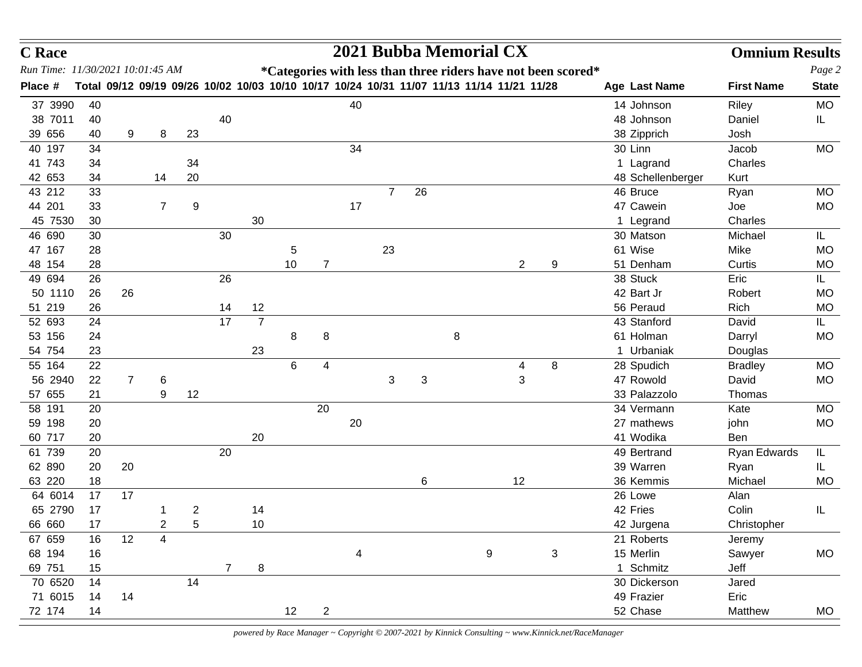| Run Time: 11/30/2021 10:01:45 AM<br>*Categories with less than three riders have not been scored*<br>Total 09/12 09/19 09/26 10/02 10/03 10/10 10/17 10/24 10/31 11/07 11/13 11/14 11/21 11/28<br>Place #<br>Age Last Name<br><b>First Name</b><br>40<br>37 3990<br>14 Johnson<br>40<br>Riley<br>38 7011<br>40<br>48 Johnson<br>Daniel<br>IL.<br>40<br>39 656<br>9<br>38 Zipprich<br>40<br>8<br>23<br>Josh<br>34<br>30 Linn<br>40 197<br>34<br>Jacob<br>41 743<br>1 Lagrand<br>Charles<br>34<br>34<br>42 653<br>20<br>48 Schellenberger<br>34<br>14<br>Kurt<br>43 212<br>26<br>46 Bruce<br>33<br>$\overline{7}$<br>Ryan<br>44 201<br>47 Cawein<br>33<br>9<br>17<br>7<br>Joe<br>45 7530<br>30<br>30<br>Charles<br>1 Legrand<br>46 690<br>30<br>30<br>30 Matson<br>Michael<br>IL.<br>47 167<br>23<br>61 Wise<br>Mike<br><b>MO</b><br>28<br>5<br>48 154<br>$\overline{2}$<br>28<br>10<br>$\overline{7}$<br>9<br>51 Denham<br>Curtis<br><b>MO</b><br>49 694<br>26<br>26<br>38 Stuck<br>Eric<br>IL.<br>50 1110<br>26<br>26<br>42 Bart Jr<br>Robert<br><b>MO</b><br>56 Peraud<br>51 219<br>12<br>Rich<br>26<br>14<br>MO<br>17<br>$\overline{7}$<br>43 Stanford<br>IL.<br>52 693<br>24<br>David<br>8<br>53 156<br>8<br>8<br>61 Holman<br><b>MO</b><br>24<br>Darryl<br>54 754<br>23<br>23<br>1 Urbaniak<br>Douglas<br>55 164<br>22<br>6<br>8<br>28 Spudich<br>4<br>4<br><b>Bradley</b><br>56 2940<br>3<br>3<br>47 Rowold<br>$\overline{7}$<br>3<br>David<br>22<br>6<br>12<br>57 655<br>21<br>9<br>33 Palazzolo<br>Thomas<br>58 191<br>20<br>34 Vermann<br>20<br>Kate<br>20<br>59 198<br>27 mathews<br>john<br><b>MO</b><br>20<br>60 717<br>20<br>41 Wodika<br>20<br>Ben<br>61 739<br>20<br>49 Bertrand<br>20<br>Ryan Edwards<br>IL<br>62 890<br>39 Warren<br>20<br>20<br>Ryan<br>IL.<br>63 220<br>18<br>6<br>12<br>36 Kemmis<br>Michael<br>64 6014<br>17<br>26 Lowe<br>17<br>Alan<br>42 Fries<br>Colin<br>65 2790<br>14<br>17<br>2<br>IL<br>66 660<br>17<br>10<br>Christopher<br>2<br>5<br>42 Jurgena<br>12<br>4<br>67 659<br>21 Roberts<br>16<br>Jeremy<br>68 194<br>9<br>3<br>15 Merlin<br>Sawyer<br>16<br>4<br>1 Schmitz<br>69 751<br>15<br>8<br>$\overline{7}$<br>Jeff<br>70 6520<br>14<br>30 Dickerson<br>14<br>Jared | <b>C</b> Race |    |    |  |  |  |  | 2021 Bubba Memorial CX |  |            | <b>Omnium Results</b> |              |
|--------------------------------------------------------------------------------------------------------------------------------------------------------------------------------------------------------------------------------------------------------------------------------------------------------------------------------------------------------------------------------------------------------------------------------------------------------------------------------------------------------------------------------------------------------------------------------------------------------------------------------------------------------------------------------------------------------------------------------------------------------------------------------------------------------------------------------------------------------------------------------------------------------------------------------------------------------------------------------------------------------------------------------------------------------------------------------------------------------------------------------------------------------------------------------------------------------------------------------------------------------------------------------------------------------------------------------------------------------------------------------------------------------------------------------------------------------------------------------------------------------------------------------------------------------------------------------------------------------------------------------------------------------------------------------------------------------------------------------------------------------------------------------------------------------------------------------------------------------------------------------------------------------------------------------------------------------------------------------------------------------------------------------------------------------------------------------------------------------------------------------------------------------------------------------------------------------------------|---------------|----|----|--|--|--|--|------------------------|--|------------|-----------------------|--------------|
|                                                                                                                                                                                                                                                                                                                                                                                                                                                                                                                                                                                                                                                                                                                                                                                                                                                                                                                                                                                                                                                                                                                                                                                                                                                                                                                                                                                                                                                                                                                                                                                                                                                                                                                                                                                                                                                                                                                                                                                                                                                                                                                                                                                                                    |               |    |    |  |  |  |  |                        |  |            |                       | Page 2       |
|                                                                                                                                                                                                                                                                                                                                                                                                                                                                                                                                                                                                                                                                                                                                                                                                                                                                                                                                                                                                                                                                                                                                                                                                                                                                                                                                                                                                                                                                                                                                                                                                                                                                                                                                                                                                                                                                                                                                                                                                                                                                                                                                                                                                                    |               |    |    |  |  |  |  |                        |  |            |                       | <b>State</b> |
|                                                                                                                                                                                                                                                                                                                                                                                                                                                                                                                                                                                                                                                                                                                                                                                                                                                                                                                                                                                                                                                                                                                                                                                                                                                                                                                                                                                                                                                                                                                                                                                                                                                                                                                                                                                                                                                                                                                                                                                                                                                                                                                                                                                                                    |               |    |    |  |  |  |  |                        |  |            |                       | <b>MO</b>    |
|                                                                                                                                                                                                                                                                                                                                                                                                                                                                                                                                                                                                                                                                                                                                                                                                                                                                                                                                                                                                                                                                                                                                                                                                                                                                                                                                                                                                                                                                                                                                                                                                                                                                                                                                                                                                                                                                                                                                                                                                                                                                                                                                                                                                                    |               |    |    |  |  |  |  |                        |  |            |                       |              |
|                                                                                                                                                                                                                                                                                                                                                                                                                                                                                                                                                                                                                                                                                                                                                                                                                                                                                                                                                                                                                                                                                                                                                                                                                                                                                                                                                                                                                                                                                                                                                                                                                                                                                                                                                                                                                                                                                                                                                                                                                                                                                                                                                                                                                    |               |    |    |  |  |  |  |                        |  |            |                       |              |
|                                                                                                                                                                                                                                                                                                                                                                                                                                                                                                                                                                                                                                                                                                                                                                                                                                                                                                                                                                                                                                                                                                                                                                                                                                                                                                                                                                                                                                                                                                                                                                                                                                                                                                                                                                                                                                                                                                                                                                                                                                                                                                                                                                                                                    |               |    |    |  |  |  |  |                        |  |            |                       | <b>MO</b>    |
|                                                                                                                                                                                                                                                                                                                                                                                                                                                                                                                                                                                                                                                                                                                                                                                                                                                                                                                                                                                                                                                                                                                                                                                                                                                                                                                                                                                                                                                                                                                                                                                                                                                                                                                                                                                                                                                                                                                                                                                                                                                                                                                                                                                                                    |               |    |    |  |  |  |  |                        |  |            |                       |              |
|                                                                                                                                                                                                                                                                                                                                                                                                                                                                                                                                                                                                                                                                                                                                                                                                                                                                                                                                                                                                                                                                                                                                                                                                                                                                                                                                                                                                                                                                                                                                                                                                                                                                                                                                                                                                                                                                                                                                                                                                                                                                                                                                                                                                                    |               |    |    |  |  |  |  |                        |  |            |                       |              |
|                                                                                                                                                                                                                                                                                                                                                                                                                                                                                                                                                                                                                                                                                                                                                                                                                                                                                                                                                                                                                                                                                                                                                                                                                                                                                                                                                                                                                                                                                                                                                                                                                                                                                                                                                                                                                                                                                                                                                                                                                                                                                                                                                                                                                    |               |    |    |  |  |  |  |                        |  |            |                       | <b>MO</b>    |
|                                                                                                                                                                                                                                                                                                                                                                                                                                                                                                                                                                                                                                                                                                                                                                                                                                                                                                                                                                                                                                                                                                                                                                                                                                                                                                                                                                                                                                                                                                                                                                                                                                                                                                                                                                                                                                                                                                                                                                                                                                                                                                                                                                                                                    |               |    |    |  |  |  |  |                        |  |            |                       | MO           |
|                                                                                                                                                                                                                                                                                                                                                                                                                                                                                                                                                                                                                                                                                                                                                                                                                                                                                                                                                                                                                                                                                                                                                                                                                                                                                                                                                                                                                                                                                                                                                                                                                                                                                                                                                                                                                                                                                                                                                                                                                                                                                                                                                                                                                    |               |    |    |  |  |  |  |                        |  |            |                       |              |
|                                                                                                                                                                                                                                                                                                                                                                                                                                                                                                                                                                                                                                                                                                                                                                                                                                                                                                                                                                                                                                                                                                                                                                                                                                                                                                                                                                                                                                                                                                                                                                                                                                                                                                                                                                                                                                                                                                                                                                                                                                                                                                                                                                                                                    |               |    |    |  |  |  |  |                        |  |            |                       |              |
|                                                                                                                                                                                                                                                                                                                                                                                                                                                                                                                                                                                                                                                                                                                                                                                                                                                                                                                                                                                                                                                                                                                                                                                                                                                                                                                                                                                                                                                                                                                                                                                                                                                                                                                                                                                                                                                                                                                                                                                                                                                                                                                                                                                                                    |               |    |    |  |  |  |  |                        |  |            |                       |              |
|                                                                                                                                                                                                                                                                                                                                                                                                                                                                                                                                                                                                                                                                                                                                                                                                                                                                                                                                                                                                                                                                                                                                                                                                                                                                                                                                                                                                                                                                                                                                                                                                                                                                                                                                                                                                                                                                                                                                                                                                                                                                                                                                                                                                                    |               |    |    |  |  |  |  |                        |  |            |                       |              |
|                                                                                                                                                                                                                                                                                                                                                                                                                                                                                                                                                                                                                                                                                                                                                                                                                                                                                                                                                                                                                                                                                                                                                                                                                                                                                                                                                                                                                                                                                                                                                                                                                                                                                                                                                                                                                                                                                                                                                                                                                                                                                                                                                                                                                    |               |    |    |  |  |  |  |                        |  |            |                       |              |
|                                                                                                                                                                                                                                                                                                                                                                                                                                                                                                                                                                                                                                                                                                                                                                                                                                                                                                                                                                                                                                                                                                                                                                                                                                                                                                                                                                                                                                                                                                                                                                                                                                                                                                                                                                                                                                                                                                                                                                                                                                                                                                                                                                                                                    |               |    |    |  |  |  |  |                        |  |            |                       |              |
|                                                                                                                                                                                                                                                                                                                                                                                                                                                                                                                                                                                                                                                                                                                                                                                                                                                                                                                                                                                                                                                                                                                                                                                                                                                                                                                                                                                                                                                                                                                                                                                                                                                                                                                                                                                                                                                                                                                                                                                                                                                                                                                                                                                                                    |               |    |    |  |  |  |  |                        |  |            |                       |              |
|                                                                                                                                                                                                                                                                                                                                                                                                                                                                                                                                                                                                                                                                                                                                                                                                                                                                                                                                                                                                                                                                                                                                                                                                                                                                                                                                                                                                                                                                                                                                                                                                                                                                                                                                                                                                                                                                                                                                                                                                                                                                                                                                                                                                                    |               |    |    |  |  |  |  |                        |  |            |                       |              |
|                                                                                                                                                                                                                                                                                                                                                                                                                                                                                                                                                                                                                                                                                                                                                                                                                                                                                                                                                                                                                                                                                                                                                                                                                                                                                                                                                                                                                                                                                                                                                                                                                                                                                                                                                                                                                                                                                                                                                                                                                                                                                                                                                                                                                    |               |    |    |  |  |  |  |                        |  |            |                       |              |
|                                                                                                                                                                                                                                                                                                                                                                                                                                                                                                                                                                                                                                                                                                                                                                                                                                                                                                                                                                                                                                                                                                                                                                                                                                                                                                                                                                                                                                                                                                                                                                                                                                                                                                                                                                                                                                                                                                                                                                                                                                                                                                                                                                                                                    |               |    |    |  |  |  |  |                        |  |            |                       |              |
|                                                                                                                                                                                                                                                                                                                                                                                                                                                                                                                                                                                                                                                                                                                                                                                                                                                                                                                                                                                                                                                                                                                                                                                                                                                                                                                                                                                                                                                                                                                                                                                                                                                                                                                                                                                                                                                                                                                                                                                                                                                                                                                                                                                                                    |               |    |    |  |  |  |  |                        |  |            |                       | MO           |
|                                                                                                                                                                                                                                                                                                                                                                                                                                                                                                                                                                                                                                                                                                                                                                                                                                                                                                                                                                                                                                                                                                                                                                                                                                                                                                                                                                                                                                                                                                                                                                                                                                                                                                                                                                                                                                                                                                                                                                                                                                                                                                                                                                                                                    |               |    |    |  |  |  |  |                        |  |            |                       | <b>MO</b>    |
|                                                                                                                                                                                                                                                                                                                                                                                                                                                                                                                                                                                                                                                                                                                                                                                                                                                                                                                                                                                                                                                                                                                                                                                                                                                                                                                                                                                                                                                                                                                                                                                                                                                                                                                                                                                                                                                                                                                                                                                                                                                                                                                                                                                                                    |               |    |    |  |  |  |  |                        |  |            |                       |              |
|                                                                                                                                                                                                                                                                                                                                                                                                                                                                                                                                                                                                                                                                                                                                                                                                                                                                                                                                                                                                                                                                                                                                                                                                                                                                                                                                                                                                                                                                                                                                                                                                                                                                                                                                                                                                                                                                                                                                                                                                                                                                                                                                                                                                                    |               |    |    |  |  |  |  |                        |  |            |                       | <b>MO</b>    |
|                                                                                                                                                                                                                                                                                                                                                                                                                                                                                                                                                                                                                                                                                                                                                                                                                                                                                                                                                                                                                                                                                                                                                                                                                                                                                                                                                                                                                                                                                                                                                                                                                                                                                                                                                                                                                                                                                                                                                                                                                                                                                                                                                                                                                    |               |    |    |  |  |  |  |                        |  |            |                       |              |
|                                                                                                                                                                                                                                                                                                                                                                                                                                                                                                                                                                                                                                                                                                                                                                                                                                                                                                                                                                                                                                                                                                                                                                                                                                                                                                                                                                                                                                                                                                                                                                                                                                                                                                                                                                                                                                                                                                                                                                                                                                                                                                                                                                                                                    |               |    |    |  |  |  |  |                        |  |            |                       |              |
|                                                                                                                                                                                                                                                                                                                                                                                                                                                                                                                                                                                                                                                                                                                                                                                                                                                                                                                                                                                                                                                                                                                                                                                                                                                                                                                                                                                                                                                                                                                                                                                                                                                                                                                                                                                                                                                                                                                                                                                                                                                                                                                                                                                                                    |               |    |    |  |  |  |  |                        |  |            |                       |              |
|                                                                                                                                                                                                                                                                                                                                                                                                                                                                                                                                                                                                                                                                                                                                                                                                                                                                                                                                                                                                                                                                                                                                                                                                                                                                                                                                                                                                                                                                                                                                                                                                                                                                                                                                                                                                                                                                                                                                                                                                                                                                                                                                                                                                                    |               |    |    |  |  |  |  |                        |  |            |                       |              |
|                                                                                                                                                                                                                                                                                                                                                                                                                                                                                                                                                                                                                                                                                                                                                                                                                                                                                                                                                                                                                                                                                                                                                                                                                                                                                                                                                                                                                                                                                                                                                                                                                                                                                                                                                                                                                                                                                                                                                                                                                                                                                                                                                                                                                    |               |    |    |  |  |  |  |                        |  |            |                       | MO           |
|                                                                                                                                                                                                                                                                                                                                                                                                                                                                                                                                                                                                                                                                                                                                                                                                                                                                                                                                                                                                                                                                                                                                                                                                                                                                                                                                                                                                                                                                                                                                                                                                                                                                                                                                                                                                                                                                                                                                                                                                                                                                                                                                                                                                                    |               |    |    |  |  |  |  |                        |  |            |                       |              |
|                                                                                                                                                                                                                                                                                                                                                                                                                                                                                                                                                                                                                                                                                                                                                                                                                                                                                                                                                                                                                                                                                                                                                                                                                                                                                                                                                                                                                                                                                                                                                                                                                                                                                                                                                                                                                                                                                                                                                                                                                                                                                                                                                                                                                    |               |    |    |  |  |  |  |                        |  |            |                       |              |
|                                                                                                                                                                                                                                                                                                                                                                                                                                                                                                                                                                                                                                                                                                                                                                                                                                                                                                                                                                                                                                                                                                                                                                                                                                                                                                                                                                                                                                                                                                                                                                                                                                                                                                                                                                                                                                                                                                                                                                                                                                                                                                                                                                                                                    |               |    |    |  |  |  |  |                        |  |            |                       |              |
|                                                                                                                                                                                                                                                                                                                                                                                                                                                                                                                                                                                                                                                                                                                                                                                                                                                                                                                                                                                                                                                                                                                                                                                                                                                                                                                                                                                                                                                                                                                                                                                                                                                                                                                                                                                                                                                                                                                                                                                                                                                                                                                                                                                                                    |               |    |    |  |  |  |  |                        |  |            |                       |              |
|                                                                                                                                                                                                                                                                                                                                                                                                                                                                                                                                                                                                                                                                                                                                                                                                                                                                                                                                                                                                                                                                                                                                                                                                                                                                                                                                                                                                                                                                                                                                                                                                                                                                                                                                                                                                                                                                                                                                                                                                                                                                                                                                                                                                                    |               |    |    |  |  |  |  |                        |  |            |                       | MO           |
|                                                                                                                                                                                                                                                                                                                                                                                                                                                                                                                                                                                                                                                                                                                                                                                                                                                                                                                                                                                                                                                                                                                                                                                                                                                                                                                                                                                                                                                                                                                                                                                                                                                                                                                                                                                                                                                                                                                                                                                                                                                                                                                                                                                                                    |               |    |    |  |  |  |  |                        |  |            |                       |              |
|                                                                                                                                                                                                                                                                                                                                                                                                                                                                                                                                                                                                                                                                                                                                                                                                                                                                                                                                                                                                                                                                                                                                                                                                                                                                                                                                                                                                                                                                                                                                                                                                                                                                                                                                                                                                                                                                                                                                                                                                                                                                                                                                                                                                                    |               |    |    |  |  |  |  |                        |  |            |                       |              |
|                                                                                                                                                                                                                                                                                                                                                                                                                                                                                                                                                                                                                                                                                                                                                                                                                                                                                                                                                                                                                                                                                                                                                                                                                                                                                                                                                                                                                                                                                                                                                                                                                                                                                                                                                                                                                                                                                                                                                                                                                                                                                                                                                                                                                    | 71 6015       | 14 | 14 |  |  |  |  |                        |  | 49 Frazier | Eric                  |              |
| 12<br>52 Chase<br>72 174<br>Matthew<br>14<br>$\mathbf{2}$                                                                                                                                                                                                                                                                                                                                                                                                                                                                                                                                                                                                                                                                                                                                                                                                                                                                                                                                                                                                                                                                                                                                                                                                                                                                                                                                                                                                                                                                                                                                                                                                                                                                                                                                                                                                                                                                                                                                                                                                                                                                                                                                                          |               |    |    |  |  |  |  |                        |  |            |                       | MO           |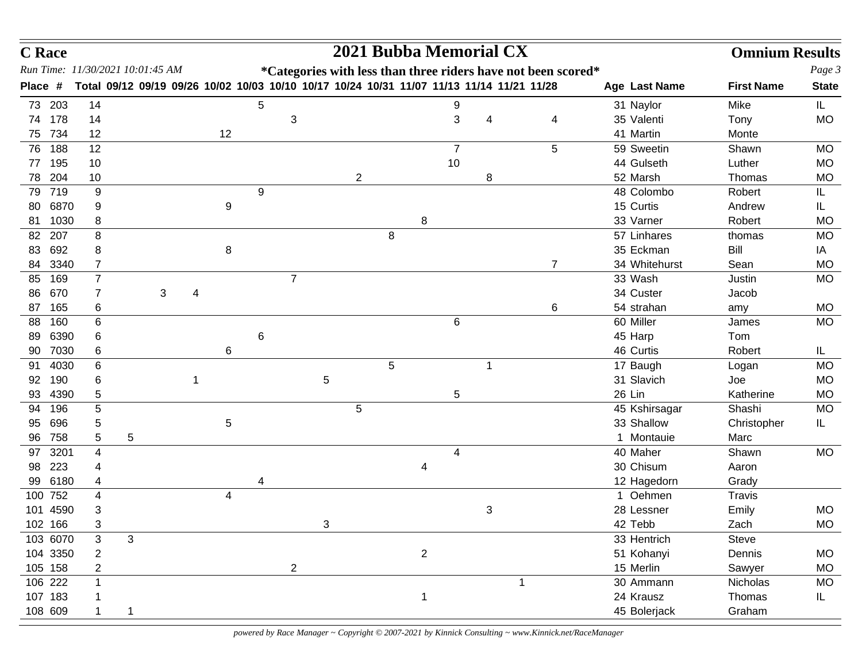| <b>C</b> Race                    |                |              |   |   |    |   |                |   |              |   |                |                | 2021 Bubba Memorial CX                                                                    |    |                |               | <b>Omnium Results</b> |              |
|----------------------------------|----------------|--------------|---|---|----|---|----------------|---|--------------|---|----------------|----------------|-------------------------------------------------------------------------------------------|----|----------------|---------------|-----------------------|--------------|
| Run Time: 11/30/2021 10:01:45 AM |                |              |   |   |    |   |                |   |              |   |                |                | *Categories with less than three riders have not been scored*                             |    |                |               |                       | Page 3       |
| Place #                          |                |              |   |   |    |   |                |   |              |   |                |                | Total 09/12 09/19 09/26 10/02 10/03 10/10 10/17 10/24 10/31 11/07 11/13 11/14 11/21 11/28 |    |                | Age Last Name | <b>First Name</b>     | <b>State</b> |
| 73 203                           | 14             |              |   |   |    | 5 |                |   |              |   |                | 9              |                                                                                           |    |                | 31 Naylor     | Mike                  | IL.          |
| 74 178                           | 14             |              |   |   |    |   | 3              |   |              |   |                | 3              | 4                                                                                         |    | 4              | 35 Valenti    | Tony                  | <b>MO</b>    |
| 734<br>75                        | 12             |              |   |   | 12 |   |                |   |              |   |                |                |                                                                                           |    |                | 41 Martin     | Monte                 |              |
| 188<br>76                        | 12             |              |   |   |    |   |                |   |              |   |                | $\overline{7}$ |                                                                                           |    | 5              | 59 Sweetin    | Shawn                 | <b>MO</b>    |
| 195<br>77                        | 10             |              |   |   |    |   |                |   |              |   |                | 10             |                                                                                           |    |                | 44 Gulseth    | Luther                | <b>MO</b>    |
| 204<br>78                        | 10             |              |   |   |    |   |                |   | $\mathbf{2}$ |   |                |                | 8                                                                                         |    |                | 52 Marsh      | Thomas                | MO           |
| 719<br>79                        | 9              |              |   |   |    | 9 |                |   |              |   |                |                |                                                                                           |    |                | 48 Colombo    | Robert                | IL           |
| 6870<br>80                       | 9              |              |   |   | 9  |   |                |   |              |   |                |                |                                                                                           |    |                | 15 Curtis     | Andrew                | IL.          |
| 1030<br>81                       | 8              |              |   |   |    |   |                |   |              |   | 8              |                |                                                                                           |    |                | 33 Varner     | Robert                | <b>MO</b>    |
| 207<br>82                        | 8              |              |   |   |    |   |                |   |              | 8 |                |                |                                                                                           |    |                | 57 Linhares   | thomas                | <b>MO</b>    |
| 692<br>83                        | 8              |              |   |   | 8  |   |                |   |              |   |                |                |                                                                                           |    |                | 35 Eckman     | Bill                  | IA           |
| 3340<br>84                       | 7              |              |   |   |    |   |                |   |              |   |                |                |                                                                                           |    | $\overline{7}$ | 34 Whitehurst | Sean                  | <b>MO</b>    |
| 169<br>85                        | $\overline{7}$ |              |   |   |    |   | $\overline{7}$ |   |              |   |                |                |                                                                                           |    |                | 33 Wash       | Justin                | <b>MO</b>    |
| 670<br>86                        | 7              |              | 3 | 4 |    |   |                |   |              |   |                |                |                                                                                           |    |                | 34 Custer     | Jacob                 |              |
| 165<br>87                        | 6              |              |   |   |    |   |                |   |              |   |                |                |                                                                                           |    | 6              | 54 strahan    | amy                   | <b>MO</b>    |
| 160<br>88                        | 6              |              |   |   |    |   |                |   |              |   |                | 6              |                                                                                           |    |                | 60 Miller     | James                 | MO           |
| 6390<br>89                       | 6              |              |   |   |    | 6 |                |   |              |   |                |                |                                                                                           |    |                | 45 Harp       | Tom                   |              |
| 7030<br>90                       | 6              |              |   |   | 6  |   |                |   |              |   |                |                |                                                                                           |    |                | 46 Curtis     | Robert                | IL.          |
| 4030<br>91                       | 6              |              |   |   |    |   |                |   |              | 5 |                |                | 1                                                                                         |    |                | 17 Baugh      | Logan                 | <b>MO</b>    |
| 190<br>92                        | 6              |              |   |   |    |   |                | 5 |              |   |                |                |                                                                                           |    |                | 31 Slavich    | Joe                   | <b>MO</b>    |
| 4390<br>93                       | 5              |              |   |   |    |   |                |   |              |   |                | 5              |                                                                                           |    |                | 26 Lin        | Katherine             | <b>MO</b>    |
| 196<br>94                        | 5              |              |   |   |    |   |                |   | 5            |   |                |                |                                                                                           |    |                | 45 Kshirsagar | Shashi                | <b>MO</b>    |
| 696<br>95                        | 5              |              |   |   | 5  |   |                |   |              |   |                |                |                                                                                           |    |                | 33 Shallow    | Christopher           | IL.          |
| 758<br>96                        | 5              | 5            |   |   |    |   |                |   |              |   |                |                |                                                                                           |    |                | 1 Montauie    | Marc                  |              |
| 3201<br>97                       | 4              |              |   |   |    |   |                |   |              |   |                | 4              |                                                                                           |    |                | 40 Maher      | Shawn                 | MO           |
| 223<br>98                        | 4              |              |   |   |    |   |                |   |              |   | 4              |                |                                                                                           |    |                | 30 Chisum     | Aaron                 |              |
| 6180<br>99                       | 4              |              |   |   |    | 4 |                |   |              |   |                |                |                                                                                           |    |                | 12 Hagedorn   | Grady                 |              |
| 100 752                          | 4              |              |   |   | 4  |   |                |   |              |   |                |                |                                                                                           |    |                | 1 Oehmen      | Travis                |              |
| 101 4590                         | 3              |              |   |   |    |   |                |   |              |   |                |                | 3                                                                                         |    |                | 28 Lessner    | Emily                 | MO           |
| 102 166                          |                |              |   |   |    |   |                | 3 |              |   |                |                |                                                                                           |    |                | 42 Tebb       | Zach                  | MO           |
| 103 6070                         | 3              | $\mathbf{3}$ |   |   |    |   |                |   |              |   |                |                |                                                                                           |    |                | 33 Hentrich   | Steve                 |              |
| 104 3350                         | 2              |              |   |   |    |   |                |   |              |   | $\overline{2}$ |                |                                                                                           |    |                | 51 Kohanyi    | Dennis                | MO           |
| 105 158                          | 2              |              |   |   |    |   | $\overline{a}$ |   |              |   |                |                |                                                                                           |    |                | 15 Merlin     | Sawyer                | MO           |
| 106 222                          |                |              |   |   |    |   |                |   |              |   |                |                |                                                                                           | -1 |                | 30 Ammann     | Nicholas              | <b>MO</b>    |
| 107 183                          |                |              |   |   |    |   |                |   |              |   |                |                |                                                                                           |    |                | 24 Krausz     | Thomas                | IL           |
| 108 609                          |                | 1            |   |   |    |   |                |   |              |   |                |                |                                                                                           |    |                | 45 Bolerjack  | Graham                |              |
|                                  |                |              |   |   |    |   |                |   |              |   |                |                |                                                                                           |    |                |               |                       |              |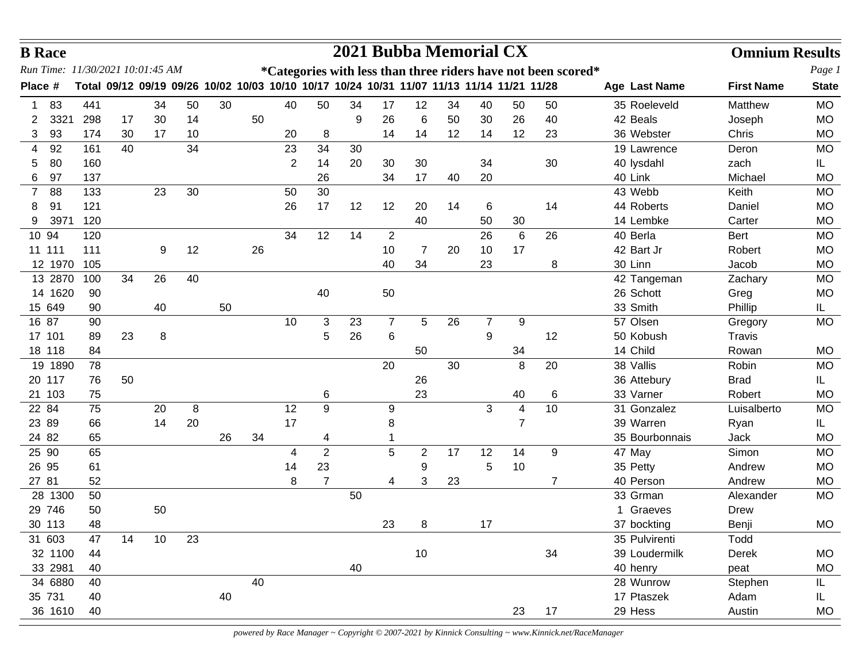|         | <b>B</b> Race |     |    |                                  |    |    |    |                                                                                           |                |    |                | 2021 Bubba Memorial CX |    |                |                 |                                                               |                | <b>Omnium Results</b> |              |
|---------|---------------|-----|----|----------------------------------|----|----|----|-------------------------------------------------------------------------------------------|----------------|----|----------------|------------------------|----|----------------|-----------------|---------------------------------------------------------------|----------------|-----------------------|--------------|
|         |               |     |    | Run Time: 11/30/2021 10:01:45 AM |    |    |    |                                                                                           |                |    |                |                        |    |                |                 | *Categories with less than three riders have not been scored* |                |                       | Page 1       |
| Place # |               |     |    |                                  |    |    |    | Total 09/12 09/19 09/26 10/02 10/03 10/10 10/17 10/24 10/31 11/07 11/13 11/14 11/21 11/28 |                |    |                |                        |    |                |                 |                                                               | Age Last Name  | <b>First Name</b>     | <b>State</b> |
|         | 83            | 441 |    | 34                               | 50 | 30 |    | 40                                                                                        | 50             | 34 | 17             | 12                     | 34 | 40             | 50              | 50                                                            | 35 Roeleveld   | Matthew               | <b>MO</b>    |
| 2       | 3321          | 298 | 17 | 30                               | 14 |    | 50 |                                                                                           |                | 9  | 26             | 6                      | 50 | 30             | 26              | 40                                                            | 42 Beals       | Joseph                | <b>MO</b>    |
| 3       | 93            | 174 | 30 | 17                               | 10 |    |    | 20                                                                                        | 8              |    | 14             | 14                     | 12 | 14             | 12              | 23                                                            | 36 Webster     | Chris                 | <b>MO</b>    |
| 4       | 92            | 161 | 40 |                                  | 34 |    |    | 23                                                                                        | 34             | 30 |                |                        |    |                |                 |                                                               | 19 Lawrence    | Deron                 | <b>MO</b>    |
| 5       | 80            | 160 |    |                                  |    |    |    | 2                                                                                         | 14             | 20 | 30             | 30                     |    | 34             |                 | 30                                                            | 40 lysdahl     | zach                  | IL.          |
| 6       | 97            | 137 |    |                                  |    |    |    |                                                                                           | 26             |    | 34             | 17                     | 40 | 20             |                 |                                                               | 40 Link        | Michael               | <b>MO</b>    |
| 7       | 88            | 133 |    | 23                               | 30 |    |    | 50                                                                                        | 30             |    |                |                        |    |                |                 |                                                               | 43 Webb        | Keith                 | <b>MO</b>    |
| 8       | 91            | 121 |    |                                  |    |    |    | 26                                                                                        | 17             | 12 | 12             | 20                     | 14 | 6              |                 | 14                                                            | 44 Roberts     | Daniel                | <b>MO</b>    |
| 9       | 3971          | 120 |    |                                  |    |    |    |                                                                                           |                |    |                | 40                     |    | 50             | 30              |                                                               | 14 Lembke      | Carter                | <b>MO</b>    |
|         | 10 94         | 120 |    |                                  |    |    |    | 34                                                                                        | 12             | 14 | $\overline{2}$ |                        |    | 26             | $6\phantom{1}6$ | 26                                                            | 40 Berla       | Bert                  | <b>MO</b>    |
|         | 11 111        | 111 |    | 9                                | 12 |    | 26 |                                                                                           |                |    | 10             | 7                      | 20 | 10             | 17              |                                                               | 42 Bart Jr     | Robert                | <b>MO</b>    |
|         | 12 1970       | 105 |    |                                  |    |    |    |                                                                                           |                |    | 40             | 34                     |    | 23             |                 | 8                                                             | 30 Linn        | Jacob                 | <b>MO</b>    |
|         | 13 2870       | 100 | 34 | 26                               | 40 |    |    |                                                                                           |                |    |                |                        |    |                |                 |                                                               | 42 Tangeman    | Zachary               | <b>MO</b>    |
|         | 14 1620       | 90  |    |                                  |    |    |    |                                                                                           | 40             |    | 50             |                        |    |                |                 |                                                               | 26 Schott      | Greg                  | <b>MO</b>    |
|         | 15 649        | 90  |    | 40                               |    | 50 |    |                                                                                           |                |    |                |                        |    |                |                 |                                                               | 33 Smith       | Phillip               | IL.          |
|         | 16 87         | 90  |    |                                  |    |    |    | 10                                                                                        | 3              | 23 | $\overline{7}$ | 5                      | 26 | $\overline{7}$ | 9               |                                                               | 57 Olsen       | Gregory               | <b>MO</b>    |
|         | 17 101        | 89  | 23 | 8                                |    |    |    |                                                                                           | 5              | 26 | 6              |                        |    | 9              |                 | 12                                                            | 50 Kobush      | Travis                |              |
|         | 18 118        | 84  |    |                                  |    |    |    |                                                                                           |                |    |                | 50                     |    |                | 34              |                                                               | 14 Child       | Rowan                 | <b>MO</b>    |
|         | 19 1890       | 78  |    |                                  |    |    |    |                                                                                           |                |    | 20             |                        | 30 |                | 8               | 20                                                            | 38 Vallis      | Robin                 | <b>MO</b>    |
|         | 20 117        | 76  | 50 |                                  |    |    |    |                                                                                           |                |    |                | 26                     |    |                |                 |                                                               | 36 Attebury    | <b>Brad</b>           | IL.          |
|         | 21 103        | 75  |    |                                  |    |    |    |                                                                                           | 6              |    |                | 23                     |    |                | 40              | 6                                                             | 33 Varner      | Robert                | <b>MO</b>    |
|         | 22 84         | 75  |    | 20                               | 8  |    |    | 12                                                                                        | 9              |    | 9              |                        |    | 3              | $\overline{4}$  | 10                                                            | 31 Gonzalez    | Luisalberto           | <b>MO</b>    |
|         | 23 89         | 66  |    | 14                               | 20 |    |    | 17                                                                                        |                |    | 8              |                        |    |                | $\overline{7}$  |                                                               | 39 Warren      | Ryan                  | IL.          |
|         | 24 82         | 65  |    |                                  |    | 26 | 34 |                                                                                           | 4              |    |                |                        |    |                |                 |                                                               | 35 Bourbonnais | Jack                  | <b>MO</b>    |
|         | 25 90         | 65  |    |                                  |    |    |    | 4                                                                                         | $\overline{2}$ |    | 5              | 2                      | 17 | 12             | 14              | 9                                                             | 47 May         | Simon                 | <b>MO</b>    |
|         | 26 95         | 61  |    |                                  |    |    |    | 14                                                                                        | 23             |    |                | 9                      |    | 5              | 10              |                                                               | 35 Petty       | Andrew                | <b>MO</b>    |
|         | 27 81         | 52  |    |                                  |    |    |    | 8                                                                                         | $\overline{7}$ |    | 4              | 3                      | 23 |                |                 | 7                                                             | 40 Person      | Andrew                | <b>MO</b>    |
|         | 28 1300       | 50  |    |                                  |    |    |    |                                                                                           |                | 50 |                |                        |    |                |                 |                                                               | 33 Grman       | Alexander             | <b>MO</b>    |
|         | 29 746        | 50  |    | 50                               |    |    |    |                                                                                           |                |    |                |                        |    |                |                 |                                                               | 1 Graeves      | <b>Drew</b>           |              |
|         | 30 113        | 48  |    |                                  |    |    |    |                                                                                           |                |    | 23             | 8                      |    | 17             |                 |                                                               | 37 bockting    | Benji                 | MO           |
|         | 31 603        | 47  | 14 | 10                               | 23 |    |    |                                                                                           |                |    |                |                        |    |                |                 |                                                               | 35 Pulvirenti  | Todd                  |              |
|         | 32 1100       | 44  |    |                                  |    |    |    |                                                                                           |                |    |                | $10$                   |    |                |                 | 34                                                            | 39 Loudermilk  | Derek                 | MO           |
|         | 33 2981       | 40  |    |                                  |    |    |    |                                                                                           |                | 40 |                |                        |    |                |                 |                                                               | 40 henry       | peat                  | MO           |
|         | 34 6880       | 40  |    |                                  |    |    | 40 |                                                                                           |                |    |                |                        |    |                |                 |                                                               | 28 Wunrow      | Stephen               | IL           |
|         | 35 731        | 40  |    |                                  |    | 40 |    |                                                                                           |                |    |                |                        |    |                |                 |                                                               | 17 Ptaszek     | Adam                  | IL           |
|         | 36 1610       | 40  |    |                                  |    |    |    |                                                                                           |                |    |                |                        |    |                | 23              | 17                                                            | 29 Hess        | Austin                | MO           |
|         |               |     |    |                                  |    |    |    |                                                                                           |                |    |                |                        |    |                |                 |                                                               |                |                       |              |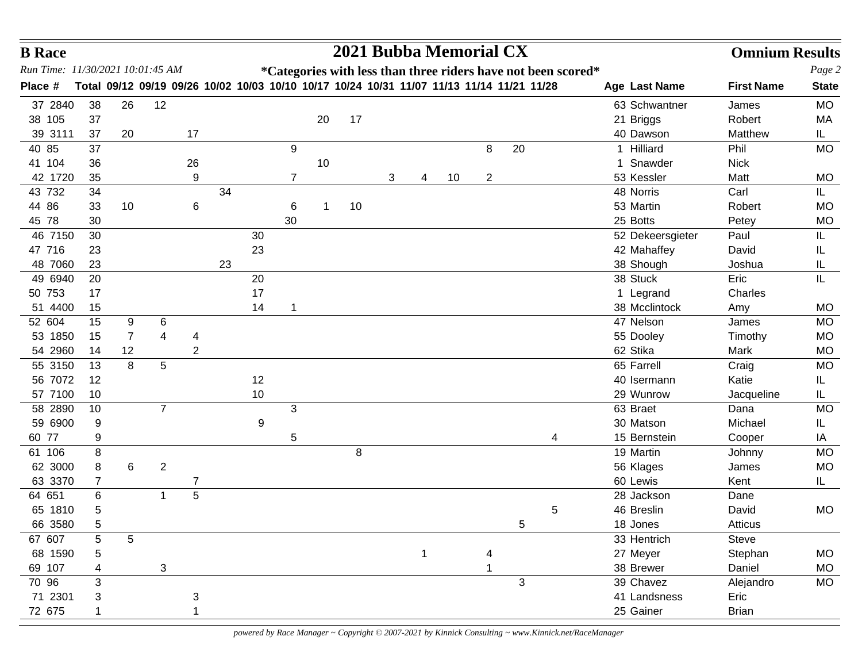| Run Time: 11/30/2021 10:01:45 AM<br>*Categories with less than three riders have not been scored*<br>Total 09/12 09/19 09/26 10/02 10/03 10/10 10/17 10/24 10/31 11/07 11/13 11/14 11/21 11/28<br>Place #<br><b>First Name</b><br>Age Last Name<br>12<br><b>MO</b><br>37 2840<br>26<br>63 Schwantner<br>38<br>James<br>17<br>38 105<br>37<br>20<br>21 Briggs<br>Robert<br>МA<br>39 3111<br>20<br>40 Dawson<br>Matthew<br>IL.<br>37<br>17<br>8<br>20<br>1 Hilliard<br>40 85<br>37<br>9<br>Phil<br><b>MO</b><br><b>Nick</b><br>41 104<br>26<br>10<br>1 Snawder<br>36<br>42 1720<br>53 Kessler<br>35<br>9<br>3<br>10<br>$\overline{2}$<br>Matt<br><b>MO</b><br>7<br>4<br>43 732<br>34<br>48 Norris<br>Carl<br>34<br>IL.<br>44 86<br>53 Martin<br>33<br>10<br>6<br>10<br>Robert<br><b>MO</b><br>6<br>$\mathbf 1$<br>45 78<br>25 Botts<br>30<br>30<br><b>MO</b><br>Petey<br>46 7150<br>Paul<br>30<br>30<br>52 Dekeersgieter<br>IL<br>23<br>47 716<br>42 Mahaffey<br>David<br>23<br>IL<br>48 7060<br>38 Shough<br>23<br>Joshua<br>23<br>IL.<br>38 Stuck<br>49 6940<br>20<br>20<br>Eric<br>IL<br>17<br>50 753<br>1 Legrand<br>Charles<br>17<br>51 4400<br>15<br>14<br>38 Mcclintock<br>Amy<br><b>MO</b><br>1<br>52 604<br>47 Nelson<br>9<br>6<br>MO<br>15<br>James<br>$\overline{7}$<br>53 1850<br>4<br>55 Dooley<br>Timothy<br><b>MO</b><br>15<br>4<br>62 Stika<br>12<br>$\overline{2}$<br>54 2960<br>Mark<br>14<br><b>MO</b><br>8<br>55 3150<br>5<br>65 Farrell<br>Craig<br><b>MO</b><br>13<br>56 7072<br>12<br>Katie<br>12<br>40 Isermann<br>IL<br>57 7100<br>10<br>10<br>29 Wunrow<br>Jacqueline<br>IL.<br>$\overline{7}$<br>3<br>63 Braet<br>10<br><b>MO</b><br>58 2890<br>Dana<br>59 6900<br>9<br>9<br>30 Matson<br>Michael<br>IL<br>60 77<br>15 Bernstein<br>9<br>5<br>Cooper<br>4<br>IA<br>61 106<br>8<br>19 Martin<br>8<br><b>MO</b><br>Johnny<br>62 3000<br>6<br>$\boldsymbol{2}$<br>8<br>56 Klages<br><b>MO</b><br>James<br>63 3370<br>60 Lewis<br>Kent<br>IL.<br>$\overline{7}$<br>7<br>5<br>64 651<br>6<br>28 Jackson<br>1<br>Dane<br>65 1810<br>46 Breslin<br>5<br>David<br><b>MO</b><br>5<br>66 3580<br>5<br>18 Jones<br>5<br>Atticus<br>$\sqrt{5}$<br>5<br>67 607<br>33 Hentrich<br>Steve<br>68 1590<br>27 Meyer<br>Stephan<br>$\mathbf{1}$<br>MO<br>4<br>5<br>69 107<br>3<br>38 Brewer<br>Daniel<br>MO<br>70 96<br>3<br>39 Chavez<br>3<br>Alejandro<br>MO<br>71 2301<br>41 Landsness<br>Eric<br>3<br>3 | <b>B</b> Race |  |  |  |  |  |  | 2021 Bubba Memorial CX |  |  |  | <b>Omnium Results</b> |              |
|------------------------------------------------------------------------------------------------------------------------------------------------------------------------------------------------------------------------------------------------------------------------------------------------------------------------------------------------------------------------------------------------------------------------------------------------------------------------------------------------------------------------------------------------------------------------------------------------------------------------------------------------------------------------------------------------------------------------------------------------------------------------------------------------------------------------------------------------------------------------------------------------------------------------------------------------------------------------------------------------------------------------------------------------------------------------------------------------------------------------------------------------------------------------------------------------------------------------------------------------------------------------------------------------------------------------------------------------------------------------------------------------------------------------------------------------------------------------------------------------------------------------------------------------------------------------------------------------------------------------------------------------------------------------------------------------------------------------------------------------------------------------------------------------------------------------------------------------------------------------------------------------------------------------------------------------------------------------------------------------------------------------------------------------------------------------------------------------------------------------------------------------------------------------------------------------------------------------------------------------------------------------------------------------------------------------------------------------------------------------------------------------------------------|---------------|--|--|--|--|--|--|------------------------|--|--|--|-----------------------|--------------|
|                                                                                                                                                                                                                                                                                                                                                                                                                                                                                                                                                                                                                                                                                                                                                                                                                                                                                                                                                                                                                                                                                                                                                                                                                                                                                                                                                                                                                                                                                                                                                                                                                                                                                                                                                                                                                                                                                                                                                                                                                                                                                                                                                                                                                                                                                                                                                                                                                  |               |  |  |  |  |  |  |                        |  |  |  |                       | Page 2       |
|                                                                                                                                                                                                                                                                                                                                                                                                                                                                                                                                                                                                                                                                                                                                                                                                                                                                                                                                                                                                                                                                                                                                                                                                                                                                                                                                                                                                                                                                                                                                                                                                                                                                                                                                                                                                                                                                                                                                                                                                                                                                                                                                                                                                                                                                                                                                                                                                                  |               |  |  |  |  |  |  |                        |  |  |  |                       | <b>State</b> |
|                                                                                                                                                                                                                                                                                                                                                                                                                                                                                                                                                                                                                                                                                                                                                                                                                                                                                                                                                                                                                                                                                                                                                                                                                                                                                                                                                                                                                                                                                                                                                                                                                                                                                                                                                                                                                                                                                                                                                                                                                                                                                                                                                                                                                                                                                                                                                                                                                  |               |  |  |  |  |  |  |                        |  |  |  |                       |              |
|                                                                                                                                                                                                                                                                                                                                                                                                                                                                                                                                                                                                                                                                                                                                                                                                                                                                                                                                                                                                                                                                                                                                                                                                                                                                                                                                                                                                                                                                                                                                                                                                                                                                                                                                                                                                                                                                                                                                                                                                                                                                                                                                                                                                                                                                                                                                                                                                                  |               |  |  |  |  |  |  |                        |  |  |  |                       |              |
|                                                                                                                                                                                                                                                                                                                                                                                                                                                                                                                                                                                                                                                                                                                                                                                                                                                                                                                                                                                                                                                                                                                                                                                                                                                                                                                                                                                                                                                                                                                                                                                                                                                                                                                                                                                                                                                                                                                                                                                                                                                                                                                                                                                                                                                                                                                                                                                                                  |               |  |  |  |  |  |  |                        |  |  |  |                       |              |
|                                                                                                                                                                                                                                                                                                                                                                                                                                                                                                                                                                                                                                                                                                                                                                                                                                                                                                                                                                                                                                                                                                                                                                                                                                                                                                                                                                                                                                                                                                                                                                                                                                                                                                                                                                                                                                                                                                                                                                                                                                                                                                                                                                                                                                                                                                                                                                                                                  |               |  |  |  |  |  |  |                        |  |  |  |                       |              |
|                                                                                                                                                                                                                                                                                                                                                                                                                                                                                                                                                                                                                                                                                                                                                                                                                                                                                                                                                                                                                                                                                                                                                                                                                                                                                                                                                                                                                                                                                                                                                                                                                                                                                                                                                                                                                                                                                                                                                                                                                                                                                                                                                                                                                                                                                                                                                                                                                  |               |  |  |  |  |  |  |                        |  |  |  |                       |              |
|                                                                                                                                                                                                                                                                                                                                                                                                                                                                                                                                                                                                                                                                                                                                                                                                                                                                                                                                                                                                                                                                                                                                                                                                                                                                                                                                                                                                                                                                                                                                                                                                                                                                                                                                                                                                                                                                                                                                                                                                                                                                                                                                                                                                                                                                                                                                                                                                                  |               |  |  |  |  |  |  |                        |  |  |  |                       |              |
|                                                                                                                                                                                                                                                                                                                                                                                                                                                                                                                                                                                                                                                                                                                                                                                                                                                                                                                                                                                                                                                                                                                                                                                                                                                                                                                                                                                                                                                                                                                                                                                                                                                                                                                                                                                                                                                                                                                                                                                                                                                                                                                                                                                                                                                                                                                                                                                                                  |               |  |  |  |  |  |  |                        |  |  |  |                       |              |
|                                                                                                                                                                                                                                                                                                                                                                                                                                                                                                                                                                                                                                                                                                                                                                                                                                                                                                                                                                                                                                                                                                                                                                                                                                                                                                                                                                                                                                                                                                                                                                                                                                                                                                                                                                                                                                                                                                                                                                                                                                                                                                                                                                                                                                                                                                                                                                                                                  |               |  |  |  |  |  |  |                        |  |  |  |                       |              |
|                                                                                                                                                                                                                                                                                                                                                                                                                                                                                                                                                                                                                                                                                                                                                                                                                                                                                                                                                                                                                                                                                                                                                                                                                                                                                                                                                                                                                                                                                                                                                                                                                                                                                                                                                                                                                                                                                                                                                                                                                                                                                                                                                                                                                                                                                                                                                                                                                  |               |  |  |  |  |  |  |                        |  |  |  |                       |              |
|                                                                                                                                                                                                                                                                                                                                                                                                                                                                                                                                                                                                                                                                                                                                                                                                                                                                                                                                                                                                                                                                                                                                                                                                                                                                                                                                                                                                                                                                                                                                                                                                                                                                                                                                                                                                                                                                                                                                                                                                                                                                                                                                                                                                                                                                                                                                                                                                                  |               |  |  |  |  |  |  |                        |  |  |  |                       |              |
|                                                                                                                                                                                                                                                                                                                                                                                                                                                                                                                                                                                                                                                                                                                                                                                                                                                                                                                                                                                                                                                                                                                                                                                                                                                                                                                                                                                                                                                                                                                                                                                                                                                                                                                                                                                                                                                                                                                                                                                                                                                                                                                                                                                                                                                                                                                                                                                                                  |               |  |  |  |  |  |  |                        |  |  |  |                       |              |
|                                                                                                                                                                                                                                                                                                                                                                                                                                                                                                                                                                                                                                                                                                                                                                                                                                                                                                                                                                                                                                                                                                                                                                                                                                                                                                                                                                                                                                                                                                                                                                                                                                                                                                                                                                                                                                                                                                                                                                                                                                                                                                                                                                                                                                                                                                                                                                                                                  |               |  |  |  |  |  |  |                        |  |  |  |                       |              |
|                                                                                                                                                                                                                                                                                                                                                                                                                                                                                                                                                                                                                                                                                                                                                                                                                                                                                                                                                                                                                                                                                                                                                                                                                                                                                                                                                                                                                                                                                                                                                                                                                                                                                                                                                                                                                                                                                                                                                                                                                                                                                                                                                                                                                                                                                                                                                                                                                  |               |  |  |  |  |  |  |                        |  |  |  |                       |              |
|                                                                                                                                                                                                                                                                                                                                                                                                                                                                                                                                                                                                                                                                                                                                                                                                                                                                                                                                                                                                                                                                                                                                                                                                                                                                                                                                                                                                                                                                                                                                                                                                                                                                                                                                                                                                                                                                                                                                                                                                                                                                                                                                                                                                                                                                                                                                                                                                                  |               |  |  |  |  |  |  |                        |  |  |  |                       |              |
|                                                                                                                                                                                                                                                                                                                                                                                                                                                                                                                                                                                                                                                                                                                                                                                                                                                                                                                                                                                                                                                                                                                                                                                                                                                                                                                                                                                                                                                                                                                                                                                                                                                                                                                                                                                                                                                                                                                                                                                                                                                                                                                                                                                                                                                                                                                                                                                                                  |               |  |  |  |  |  |  |                        |  |  |  |                       |              |
|                                                                                                                                                                                                                                                                                                                                                                                                                                                                                                                                                                                                                                                                                                                                                                                                                                                                                                                                                                                                                                                                                                                                                                                                                                                                                                                                                                                                                                                                                                                                                                                                                                                                                                                                                                                                                                                                                                                                                                                                                                                                                                                                                                                                                                                                                                                                                                                                                  |               |  |  |  |  |  |  |                        |  |  |  |                       |              |
|                                                                                                                                                                                                                                                                                                                                                                                                                                                                                                                                                                                                                                                                                                                                                                                                                                                                                                                                                                                                                                                                                                                                                                                                                                                                                                                                                                                                                                                                                                                                                                                                                                                                                                                                                                                                                                                                                                                                                                                                                                                                                                                                                                                                                                                                                                                                                                                                                  |               |  |  |  |  |  |  |                        |  |  |  |                       |              |
|                                                                                                                                                                                                                                                                                                                                                                                                                                                                                                                                                                                                                                                                                                                                                                                                                                                                                                                                                                                                                                                                                                                                                                                                                                                                                                                                                                                                                                                                                                                                                                                                                                                                                                                                                                                                                                                                                                                                                                                                                                                                                                                                                                                                                                                                                                                                                                                                                  |               |  |  |  |  |  |  |                        |  |  |  |                       |              |
|                                                                                                                                                                                                                                                                                                                                                                                                                                                                                                                                                                                                                                                                                                                                                                                                                                                                                                                                                                                                                                                                                                                                                                                                                                                                                                                                                                                                                                                                                                                                                                                                                                                                                                                                                                                                                                                                                                                                                                                                                                                                                                                                                                                                                                                                                                                                                                                                                  |               |  |  |  |  |  |  |                        |  |  |  |                       |              |
|                                                                                                                                                                                                                                                                                                                                                                                                                                                                                                                                                                                                                                                                                                                                                                                                                                                                                                                                                                                                                                                                                                                                                                                                                                                                                                                                                                                                                                                                                                                                                                                                                                                                                                                                                                                                                                                                                                                                                                                                                                                                                                                                                                                                                                                                                                                                                                                                                  |               |  |  |  |  |  |  |                        |  |  |  |                       |              |
|                                                                                                                                                                                                                                                                                                                                                                                                                                                                                                                                                                                                                                                                                                                                                                                                                                                                                                                                                                                                                                                                                                                                                                                                                                                                                                                                                                                                                                                                                                                                                                                                                                                                                                                                                                                                                                                                                                                                                                                                                                                                                                                                                                                                                                                                                                                                                                                                                  |               |  |  |  |  |  |  |                        |  |  |  |                       |              |
|                                                                                                                                                                                                                                                                                                                                                                                                                                                                                                                                                                                                                                                                                                                                                                                                                                                                                                                                                                                                                                                                                                                                                                                                                                                                                                                                                                                                                                                                                                                                                                                                                                                                                                                                                                                                                                                                                                                                                                                                                                                                                                                                                                                                                                                                                                                                                                                                                  |               |  |  |  |  |  |  |                        |  |  |  |                       |              |
|                                                                                                                                                                                                                                                                                                                                                                                                                                                                                                                                                                                                                                                                                                                                                                                                                                                                                                                                                                                                                                                                                                                                                                                                                                                                                                                                                                                                                                                                                                                                                                                                                                                                                                                                                                                                                                                                                                                                                                                                                                                                                                                                                                                                                                                                                                                                                                                                                  |               |  |  |  |  |  |  |                        |  |  |  |                       |              |
|                                                                                                                                                                                                                                                                                                                                                                                                                                                                                                                                                                                                                                                                                                                                                                                                                                                                                                                                                                                                                                                                                                                                                                                                                                                                                                                                                                                                                                                                                                                                                                                                                                                                                                                                                                                                                                                                                                                                                                                                                                                                                                                                                                                                                                                                                                                                                                                                                  |               |  |  |  |  |  |  |                        |  |  |  |                       |              |
|                                                                                                                                                                                                                                                                                                                                                                                                                                                                                                                                                                                                                                                                                                                                                                                                                                                                                                                                                                                                                                                                                                                                                                                                                                                                                                                                                                                                                                                                                                                                                                                                                                                                                                                                                                                                                                                                                                                                                                                                                                                                                                                                                                                                                                                                                                                                                                                                                  |               |  |  |  |  |  |  |                        |  |  |  |                       |              |
|                                                                                                                                                                                                                                                                                                                                                                                                                                                                                                                                                                                                                                                                                                                                                                                                                                                                                                                                                                                                                                                                                                                                                                                                                                                                                                                                                                                                                                                                                                                                                                                                                                                                                                                                                                                                                                                                                                                                                                                                                                                                                                                                                                                                                                                                                                                                                                                                                  |               |  |  |  |  |  |  |                        |  |  |  |                       |              |
|                                                                                                                                                                                                                                                                                                                                                                                                                                                                                                                                                                                                                                                                                                                                                                                                                                                                                                                                                                                                                                                                                                                                                                                                                                                                                                                                                                                                                                                                                                                                                                                                                                                                                                                                                                                                                                                                                                                                                                                                                                                                                                                                                                                                                                                                                                                                                                                                                  |               |  |  |  |  |  |  |                        |  |  |  |                       |              |
|                                                                                                                                                                                                                                                                                                                                                                                                                                                                                                                                                                                                                                                                                                                                                                                                                                                                                                                                                                                                                                                                                                                                                                                                                                                                                                                                                                                                                                                                                                                                                                                                                                                                                                                                                                                                                                                                                                                                                                                                                                                                                                                                                                                                                                                                                                                                                                                                                  |               |  |  |  |  |  |  |                        |  |  |  |                       |              |
|                                                                                                                                                                                                                                                                                                                                                                                                                                                                                                                                                                                                                                                                                                                                                                                                                                                                                                                                                                                                                                                                                                                                                                                                                                                                                                                                                                                                                                                                                                                                                                                                                                                                                                                                                                                                                                                                                                                                                                                                                                                                                                                                                                                                                                                                                                                                                                                                                  |               |  |  |  |  |  |  |                        |  |  |  |                       |              |
|                                                                                                                                                                                                                                                                                                                                                                                                                                                                                                                                                                                                                                                                                                                                                                                                                                                                                                                                                                                                                                                                                                                                                                                                                                                                                                                                                                                                                                                                                                                                                                                                                                                                                                                                                                                                                                                                                                                                                                                                                                                                                                                                                                                                                                                                                                                                                                                                                  |               |  |  |  |  |  |  |                        |  |  |  |                       |              |
|                                                                                                                                                                                                                                                                                                                                                                                                                                                                                                                                                                                                                                                                                                                                                                                                                                                                                                                                                                                                                                                                                                                                                                                                                                                                                                                                                                                                                                                                                                                                                                                                                                                                                                                                                                                                                                                                                                                                                                                                                                                                                                                                                                                                                                                                                                                                                                                                                  |               |  |  |  |  |  |  |                        |  |  |  |                       |              |
|                                                                                                                                                                                                                                                                                                                                                                                                                                                                                                                                                                                                                                                                                                                                                                                                                                                                                                                                                                                                                                                                                                                                                                                                                                                                                                                                                                                                                                                                                                                                                                                                                                                                                                                                                                                                                                                                                                                                                                                                                                                                                                                                                                                                                                                                                                                                                                                                                  |               |  |  |  |  |  |  |                        |  |  |  |                       |              |
|                                                                                                                                                                                                                                                                                                                                                                                                                                                                                                                                                                                                                                                                                                                                                                                                                                                                                                                                                                                                                                                                                                                                                                                                                                                                                                                                                                                                                                                                                                                                                                                                                                                                                                                                                                                                                                                                                                                                                                                                                                                                                                                                                                                                                                                                                                                                                                                                                  |               |  |  |  |  |  |  |                        |  |  |  |                       |              |
|                                                                                                                                                                                                                                                                                                                                                                                                                                                                                                                                                                                                                                                                                                                                                                                                                                                                                                                                                                                                                                                                                                                                                                                                                                                                                                                                                                                                                                                                                                                                                                                                                                                                                                                                                                                                                                                                                                                                                                                                                                                                                                                                                                                                                                                                                                                                                                                                                  |               |  |  |  |  |  |  |                        |  |  |  |                       |              |
|                                                                                                                                                                                                                                                                                                                                                                                                                                                                                                                                                                                                                                                                                                                                                                                                                                                                                                                                                                                                                                                                                                                                                                                                                                                                                                                                                                                                                                                                                                                                                                                                                                                                                                                                                                                                                                                                                                                                                                                                                                                                                                                                                                                                                                                                                                                                                                                                                  |               |  |  |  |  |  |  |                        |  |  |  |                       |              |
| 25 Gainer                                                                                                                                                                                                                                                                                                                                                                                                                                                                                                                                                                                                                                                                                                                                                                                                                                                                                                                                                                                                                                                                                                                                                                                                                                                                                                                                                                                                                                                                                                                                                                                                                                                                                                                                                                                                                                                                                                                                                                                                                                                                                                                                                                                                                                                                                                                                                                                                        | 72 675        |  |  |  |  |  |  |                        |  |  |  | <b>Brian</b>          |              |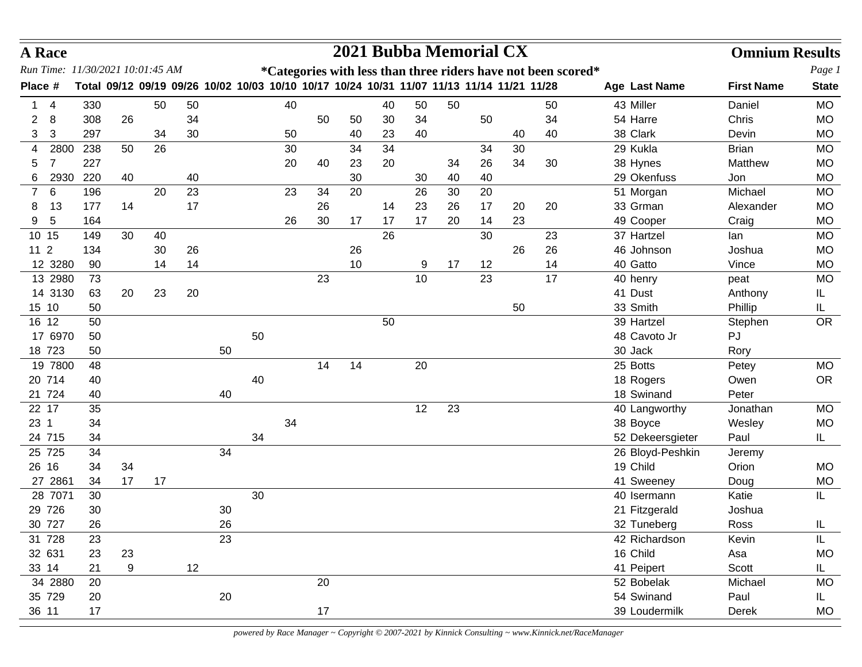| <b>A</b> Race                    |     |     |          |                                                                                           |    |    |    |    |    | 2021 Bubba Memorial CX |    |    |    |    |    |                                                               | <b>Omnium Results</b> |              |
|----------------------------------|-----|-----|----------|-------------------------------------------------------------------------------------------|----|----|----|----|----|------------------------|----|----|----|----|----|---------------------------------------------------------------|-----------------------|--------------|
| Run Time: 11/30/2021 10:01:45 AM |     |     |          |                                                                                           |    |    |    |    |    |                        |    |    |    |    |    | *Categories with less than three riders have not been scored* |                       | Page 1       |
| Place #                          |     |     |          | Total 09/12 09/19 09/26 10/02 10/03 10/10 10/17 10/24 10/31 11/07 11/13 11/14 11/21 11/28 |    |    |    |    |    |                        |    |    |    |    |    | Age Last Name                                                 | <b>First Name</b>     | <b>State</b> |
| 4                                |     | 330 | 50       | 50                                                                                        |    |    | 40 |    |    | 40                     | 50 | 50 |    |    | 50 | 43 Miller                                                     | Daniel                | <b>MO</b>    |
| 8<br>$\overline{2}$              |     | 308 | 26       | 34                                                                                        |    |    |    | 50 | 50 | 30                     | 34 |    | 50 |    | 34 | 54 Harre                                                      | Chris                 | <b>MO</b>    |
| 3<br>3                           | 297 |     | 34       | 30                                                                                        |    |    | 50 |    | 40 | 23                     | 40 |    |    | 40 | 40 | 38 Clark                                                      | Devin                 | <b>MO</b>    |
| 2800<br>4                        | 238 |     | 26<br>50 |                                                                                           |    |    | 30 |    | 34 | 34                     |    |    | 34 | 30 |    | 29 Kukla                                                      | <b>Brian</b>          | <b>MO</b>    |
| $\overline{7}$<br>5              | 227 |     |          |                                                                                           |    |    | 20 | 40 | 23 | 20                     |    | 34 | 26 | 34 | 30 | 38 Hynes                                                      | Matthew               | <b>MO</b>    |
| 2930<br>6                        | 220 |     | 40       | 40                                                                                        |    |    |    |    | 30 |                        | 30 | 40 | 40 |    |    | 29 Okenfuss                                                   | Jon                   | <b>MO</b>    |
| $6\phantom{1}6$<br>7             |     | 196 | 20       | 23                                                                                        |    |    | 23 | 34 | 20 |                        | 26 | 30 | 20 |    |    | 51 Morgan                                                     | Michael               | <b>MO</b>    |
| 13<br>8                          | 177 |     | 14       | 17                                                                                        |    |    |    | 26 |    | 14                     | 23 | 26 | 17 | 20 | 20 | 33 Grman                                                      | Alexander             | <b>MO</b>    |
| 5<br>9                           | 164 |     |          |                                                                                           |    |    | 26 | 30 | 17 | 17                     | 17 | 20 | 14 | 23 |    | 49 Cooper                                                     | Craig                 | <b>MO</b>    |
| 10 15                            |     | 149 | 30<br>40 |                                                                                           |    |    |    |    |    | 26                     |    |    | 30 |    | 23 | 37 Hartzel                                                    | lan                   | <b>MO</b>    |
| 11 <sub>2</sub>                  | 134 |     | 30       | 26                                                                                        |    |    |    |    | 26 |                        |    |    |    | 26 | 26 | 46 Johnson                                                    | Joshua                | <b>MO</b>    |
| 12 3280                          |     | 90  | 14       | 14                                                                                        |    |    |    |    | 10 |                        | 9  | 17 | 12 |    | 14 | 40 Gatto                                                      | Vince                 | <b>MO</b>    |
| 13 2980                          |     | 73  |          |                                                                                           |    |    |    | 23 |    |                        | 10 |    | 23 |    | 17 | 40 henry                                                      | peat                  | <b>MO</b>    |
| 14 3130                          |     | 63  | 20<br>23 | 20                                                                                        |    |    |    |    |    |                        |    |    |    |    |    | 41 Dust                                                       | Anthony               | IL.          |
| 15 10                            |     | 50  |          |                                                                                           |    |    |    |    |    |                        |    |    |    | 50 |    | 33 Smith                                                      | Phillip               | IL.          |
| 16 12                            |     | 50  |          |                                                                                           |    |    |    |    |    | 50                     |    |    |    |    |    | 39 Hartzel                                                    | Stephen               | <b>OR</b>    |
| 17 6970                          |     | 50  |          |                                                                                           |    | 50 |    |    |    |                        |    |    |    |    |    | 48 Cavoto Jr                                                  | PJ                    |              |
| 18 723                           |     | 50  |          |                                                                                           | 50 |    |    |    |    |                        |    |    |    |    |    | 30 Jack                                                       | Rory                  |              |
| 19 7800                          |     | 48  |          |                                                                                           |    |    |    | 14 | 14 |                        | 20 |    |    |    |    | 25 Botts                                                      | Petey                 | <b>MO</b>    |
| 20 714                           |     | 40  |          |                                                                                           |    | 40 |    |    |    |                        |    |    |    |    |    | 18 Rogers                                                     | Owen                  | <b>OR</b>    |
| 21 724                           |     | 40  |          |                                                                                           | 40 |    |    |    |    |                        |    |    |    |    |    | 18 Swinand                                                    | Peter                 |              |
| 22 17                            |     | 35  |          |                                                                                           |    |    |    |    |    |                        | 12 | 23 |    |    |    | 40 Langworthy                                                 | Jonathan              | <b>MO</b>    |
| 23 1                             |     | 34  |          |                                                                                           |    |    | 34 |    |    |                        |    |    |    |    |    | 38 Boyce                                                      | Wesley                | <b>MO</b>    |
| 24 715                           |     | 34  |          |                                                                                           |    | 34 |    |    |    |                        |    |    |    |    |    | 52 Dekeersgieter                                              | Paul                  | IL           |
| 25 725                           |     | 34  |          |                                                                                           | 34 |    |    |    |    |                        |    |    |    |    |    | 26 Bloyd-Peshkin                                              | Jeremy                |              |
| 26 16                            |     | 34  | 34       |                                                                                           |    |    |    |    |    |                        |    |    |    |    |    | 19 Child                                                      | Orion                 | <b>MO</b>    |
| 27 2861                          |     | 34  | 17<br>17 |                                                                                           |    |    |    |    |    |                        |    |    |    |    |    | 41 Sweeney                                                    | Doug                  | MO           |
| 28 7071                          |     | 30  |          |                                                                                           |    | 30 |    |    |    |                        |    |    |    |    |    | 40 Isermann                                                   | Katie                 | IL           |
| 29 726                           |     | 30  |          |                                                                                           | 30 |    |    |    |    |                        |    |    |    |    |    | 21 Fitzgerald                                                 | Joshua                |              |
| 30 727                           |     | 26  |          |                                                                                           | 26 |    |    |    |    |                        |    |    |    |    |    | 32 Tuneberg                                                   | Ross                  | IL           |
| 31 728                           |     | 23  |          |                                                                                           | 23 |    |    |    |    |                        |    |    |    |    |    | 42 Richardson                                                 | Kevin                 | IL.          |
| 32 631                           |     | 23  | 23       |                                                                                           |    |    |    |    |    |                        |    |    |    |    |    | 16 Child                                                      | Asa                   | <b>MO</b>    |
| 33 14                            |     | 21  | 9        | 12                                                                                        |    |    |    |    |    |                        |    |    |    |    |    | 41 Peipert                                                    | Scott                 | IL.          |
| 34 2880                          |     | 20  |          |                                                                                           |    |    |    | 20 |    |                        |    |    |    |    |    | 52 Bobelak                                                    | Michael               | <b>MO</b>    |
| 35 729                           |     | 20  |          |                                                                                           | 20 |    |    |    |    |                        |    |    |    |    |    | 54 Swinand                                                    | Paul                  | IL.          |
| 36 11                            |     | 17  |          |                                                                                           |    |    |    | 17 |    |                        |    |    |    |    |    | 39 Loudermilk                                                 | Derek                 | MO           |